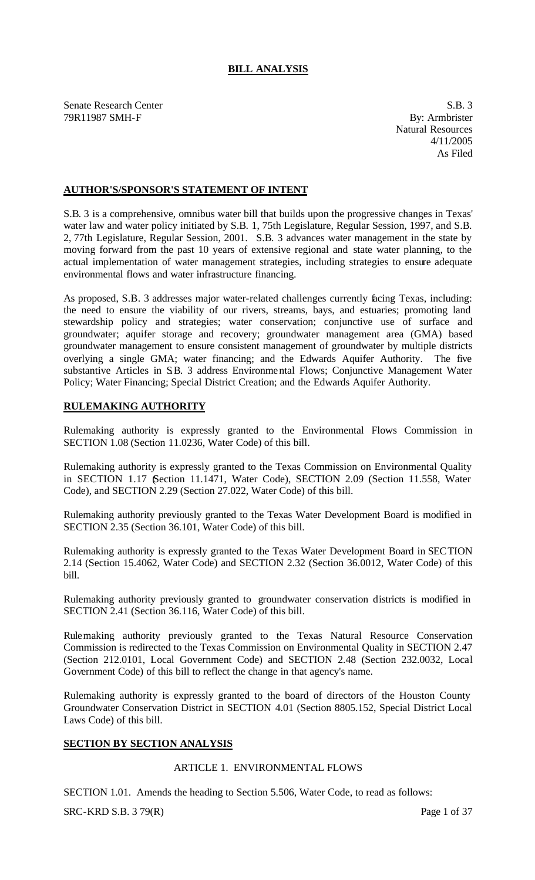# **BILL ANALYSIS**

Senate Research Center S.B. 3 79R11987 SMH-F By: Armbrister

Natural Resources 4/11/2005 As Filed

# **AUTHOR'S/SPONSOR'S STATEMENT OF INTENT**

S.B. 3 is a comprehensive, omnibus water bill that builds upon the progressive changes in Texas' water law and water policy initiated by S.B. 1, 75th Legislature, Regular Session, 1997, and S.B. 2, 77th Legislature, Regular Session, 2001. S.B. 3 advances water management in the state by moving forward from the past 10 years of extensive regional and state water planning, to the actual implementation of water management strategies, including strategies to ensure adequate environmental flows and water infrastructure financing.

As proposed, S.B. 3 addresses major water-related challenges currently facing Texas, including: the need to ensure the viability of our rivers, streams, bays, and estuaries; promoting land stewardship policy and strategies; water conservation; conjunctive use of surface and groundwater; aquifer storage and recovery; groundwater management area (GMA) based groundwater management to ensure consistent management of groundwater by multiple districts overlying a single GMA; water financing; and the Edwards Aquifer Authority. The five substantive Articles in S.B. 3 address Environmental Flows; Conjunctive Management Water Policy; Water Financing; Special District Creation; and the Edwards Aquifer Authority.

# **RULEMAKING AUTHORITY**

Rulemaking authority is expressly granted to the Environmental Flows Commission in SECTION 1.08 (Section 11.0236, Water Code) of this bill.

Rulemaking authority is expressly granted to the Texas Commission on Environmental Quality in SECTION 1.17 (Section 11.1471, Water Code), SECTION 2.09 (Section 11.558, Water Code), and SECTION 2.29 (Section 27.022, Water Code) of this bill.

Rulemaking authority previously granted to the Texas Water Development Board is modified in SECTION 2.35 (Section 36.101, Water Code) of this bill.

Rulemaking authority is expressly granted to the Texas Water Development Board in SECTION 2.14 (Section 15.4062, Water Code) and SECTION 2.32 (Section 36.0012, Water Code) of this bill.

Rulemaking authority previously granted to groundwater conservation districts is modified in SECTION 2.41 (Section 36.116, Water Code) of this bill.

Rulemaking authority previously granted to the Texas Natural Resource Conservation Commission is redirected to the Texas Commission on Environmental Quality in SECTION 2.47 (Section 212.0101, Local Government Code) and SECTION 2.48 (Section 232.0032, Local Government Code) of this bill to reflect the change in that agency's name.

Rulemaking authority is expressly granted to the board of directors of the Houston County Groundwater Conservation District in SECTION 4.01 (Section 8805.152, Special District Local Laws Code) of this bill.

# **SECTION BY SECTION ANALYSIS**

#### ARTICLE 1. ENVIRONMENTAL FLOWS

SECTION 1.01. Amends the heading to Section 5.506, Water Code, to read as follows:

 $SRC-KRD S.B. 379(R)$  Page 1 of 37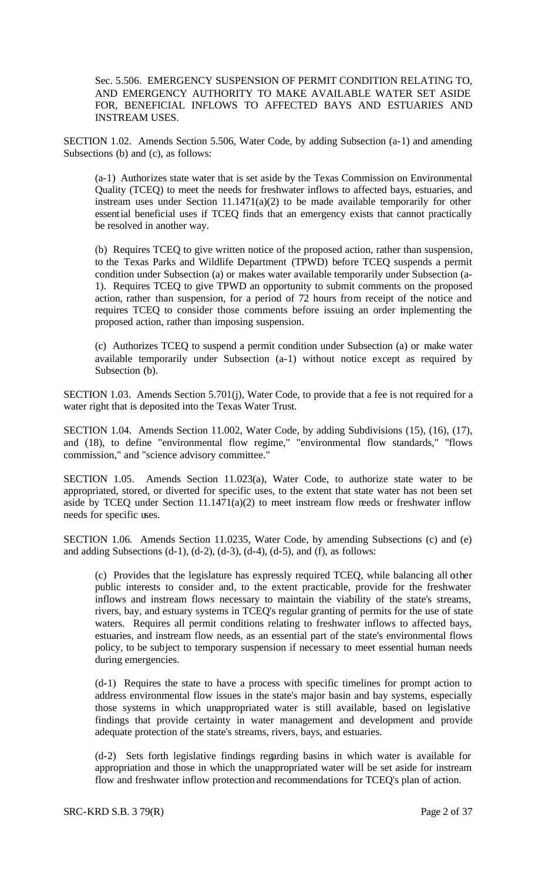Sec. 5.506. EMERGENCY SUSPENSION OF PERMIT CONDITION RELATING TO, AND EMERGENCY AUTHORITY TO MAKE AVAILABLE WATER SET ASIDE FOR, BENEFICIAL INFLOWS TO AFFECTED BAYS AND ESTUARIES AND INSTREAM USES.

SECTION 1.02. Amends Section 5.506, Water Code, by adding Subsection (a-1) and amending Subsections (b) and (c), as follows:

(a-1) Authorizes state water that is set aside by the Texas Commission on Environmental Quality (TCEQ) to meet the needs for freshwater inflows to affected bays, estuaries, and instream uses under Section  $11.1471(a)(2)$  to be made available temporarily for other essential beneficial uses if TCEQ finds that an emergency exists that cannot practically be resolved in another way.

(b) Requires TCEQ to give written notice of the proposed action, rather than suspension, to the Texas Parks and Wildlife Department (TPWD) before TCEQ suspends a permit condition under Subsection (a) or makes water available temporarily under Subsection (a-1). Requires TCEQ to give TPWD an opportunity to submit comments on the proposed action, rather than suspension, for a period of 72 hours from receipt of the notice and requires TCEQ to consider those comments before issuing an order implementing the proposed action, rather than imposing suspension.

(c) Authorizes TCEQ to suspend a permit condition under Subsection (a) or make water available temporarily under Subsection (a-1) without notice except as required by Subsection (b).

SECTION 1.03. Amends Section 5.701(j), Water Code, to provide that a fee is not required for a water right that is deposited into the Texas Water Trust.

SECTION 1.04. Amends Section 11.002, Water Code, by adding Subdivisions (15), (16), (17), and (18), to define "environmental flow regime," "environmental flow standards," "flows commission," and "science advisory committee."

SECTION 1.05. Amends Section 11.023(a), Water Code, to authorize state water to be appropriated, stored, or diverted for specific uses, to the extent that state water has not been set aside by TCEQ under Section 11.1471(a)(2) to meet instream flow needs or freshwater inflow needs for specific uses.

SECTION 1.06. Amends Section 11.0235, Water Code, by amending Subsections (c) and (e) and adding Subsections  $(d-1)$ ,  $(d-2)$ ,  $(d-3)$ ,  $(d-4)$ ,  $(d-5)$ , and  $(f)$ , as follows:

(c) Provides that the legislature has expressly required TCEQ, while balancing all other public interests to consider and, to the extent practicable, provide for the freshwater inflows and instream flows necessary to maintain the viability of the state's streams, rivers, bay, and estuary systems in TCEQ's regular granting of permits for the use of state waters. Requires all permit conditions relating to freshwater inflows to affected bays, estuaries, and instream flow needs, as an essential part of the state's environmental flows policy, to be subject to temporary suspension if necessary to meet essential human needs during emergencies.

(d-1) Requires the state to have a process with specific timelines for prompt action to address environmental flow issues in the state's major basin and bay systems, especially those systems in which unappropriated water is still available, based on legislative findings that provide certainty in water management and development and provide adequate protection of the state's streams, rivers, bays, and estuaries.

(d-2) Sets forth legislative findings regarding basins in which water is available for appropriation and those in which the unappropriated water will be set aside for instream flow and freshwater inflow protection and recommendations for TCEQ's plan of action.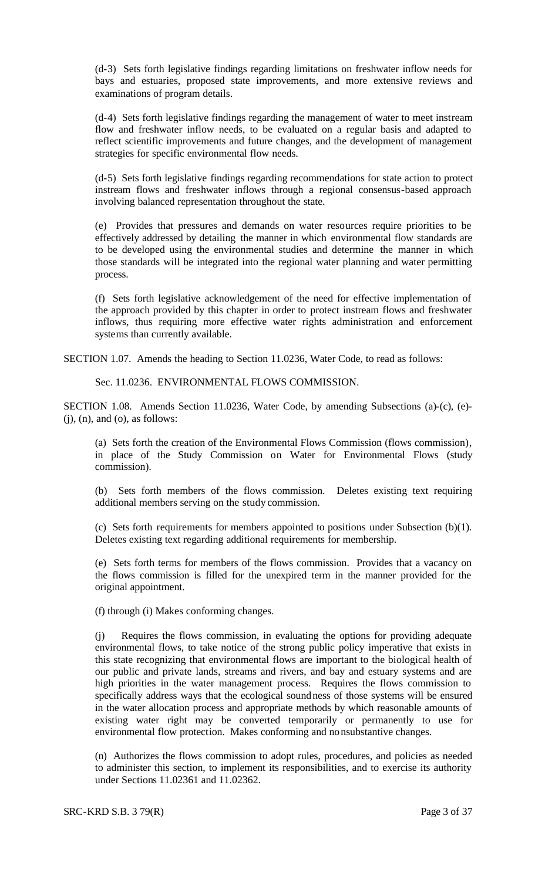(d-3) Sets forth legislative findings regarding limitations on freshwater inflow needs for bays and estuaries, proposed state improvements, and more extensive reviews and examinations of program details.

(d-4) Sets forth legislative findings regarding the management of water to meet instream flow and freshwater inflow needs, to be evaluated on a regular basis and adapted to reflect scientific improvements and future changes, and the development of management strategies for specific environmental flow needs.

(d-5) Sets forth legislative findings regarding recommendations for state action to protect instream flows and freshwater inflows through a regional consensus-based approach involving balanced representation throughout the state.

(e) Provides that pressures and demands on water resources require priorities to be effectively addressed by detailing the manner in which environmental flow standards are to be developed using the environmental studies and determine the manner in which those standards will be integrated into the regional water planning and water permitting process.

(f) Sets forth legislative acknowledgement of the need for effective implementation of the approach provided by this chapter in order to protect instream flows and freshwater inflows, thus requiring more effective water rights administration and enforcement systems than currently available.

SECTION 1.07. Amends the heading to Section 11.0236, Water Code, to read as follows:

Sec. 11.0236. ENVIRONMENTAL FLOWS COMMISSION.

SECTION 1.08. Amends Section 11.0236, Water Code, by amending Subsections (a)-(c), (e)-  $(i)$ ,  $(n)$ , and  $(o)$ , as follows:

(a) Sets forth the creation of the Environmental Flows Commission (flows commission), in place of the Study Commission on Water for Environmental Flows (study commission).

(b) Sets forth members of the flows commission. Deletes existing text requiring additional members serving on the study commission.

(c) Sets forth requirements for members appointed to positions under Subsection (b)(1). Deletes existing text regarding additional requirements for membership.

(e) Sets forth terms for members of the flows commission. Provides that a vacancy on the flows commission is filled for the unexpired term in the manner provided for the original appointment.

(f) through (i) Makes conforming changes.

(j) Requires the flows commission, in evaluating the options for providing adequate environmental flows, to take notice of the strong public policy imperative that exists in this state recognizing that environmental flows are important to the biological health of our public and private lands, streams and rivers, and bay and estuary systems and are high priorities in the water management process. Requires the flows commission to specifically address ways that the ecological soundness of those systems will be ensured in the water allocation process and appropriate methods by which reasonable amounts of existing water right may be converted temporarily or permanently to use for environmental flow protection. Makes conforming and nonsubstantive changes.

(n) Authorizes the flows commission to adopt rules, procedures, and policies as needed to administer this section, to implement its responsibilities, and to exercise its authority under Sections 11.02361 and 11.02362.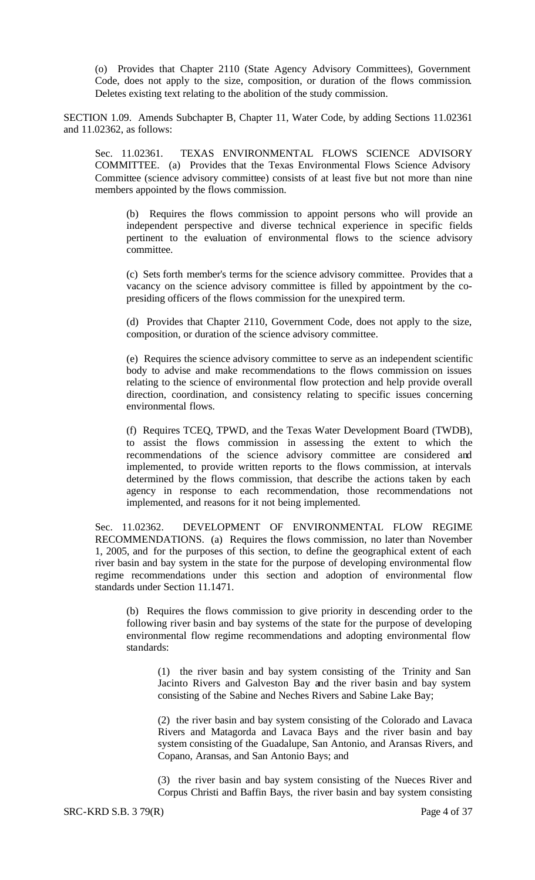(o) Provides that Chapter 2110 (State Agency Advisory Committees), Government Code, does not apply to the size, composition, or duration of the flows commission. Deletes existing text relating to the abolition of the study commission.

SECTION 1.09. Amends Subchapter B, Chapter 11, Water Code, by adding Sections 11.02361 and 11.02362, as follows:

Sec. 11.02361. TEXAS ENVIRONMENTAL FLOWS SCIENCE ADVISORY COMMITTEE. (a) Provides that the Texas Environmental Flows Science Advisory Committee (science advisory committee) consists of at least five but not more than nine members appointed by the flows commission.

(b) Requires the flows commission to appoint persons who will provide an independent perspective and diverse technical experience in specific fields pertinent to the evaluation of environmental flows to the science advisory committee.

(c) Sets forth member's terms for the science advisory committee. Provides that a vacancy on the science advisory committee is filled by appointment by the copresiding officers of the flows commission for the unexpired term.

(d) Provides that Chapter 2110, Government Code, does not apply to the size, composition, or duration of the science advisory committee.

(e) Requires the science advisory committee to serve as an independent scientific body to advise and make recommendations to the flows commission on issues relating to the science of environmental flow protection and help provide overall direction, coordination, and consistency relating to specific issues concerning environmental flows.

(f) Requires TCEQ, TPWD, and the Texas Water Development Board (TWDB), to assist the flows commission in assessing the extent to which the recommendations of the science advisory committee are considered and implemented, to provide written reports to the flows commission, at intervals determined by the flows commission, that describe the actions taken by each agency in response to each recommendation, those recommendations not implemented, and reasons for it not being implemented.

Sec. 11.02362. DEVELOPMENT OF ENVIRONMENTAL FLOW REGIME RECOMMENDATIONS. (a) Requires the flows commission, no later than November 1, 2005, and for the purposes of this section, to define the geographical extent of each river basin and bay system in the state for the purpose of developing environmental flow regime recommendations under this section and adoption of environmental flow standards under Section 11.1471.

(b) Requires the flows commission to give priority in descending order to the following river basin and bay systems of the state for the purpose of developing environmental flow regime recommendations and adopting environmental flow standards:

(1) the river basin and bay system consisting of the Trinity and San Jacinto Rivers and Galveston Bay and the river basin and bay system consisting of the Sabine and Neches Rivers and Sabine Lake Bay;

(2) the river basin and bay system consisting of the Colorado and Lavaca Rivers and Matagorda and Lavaca Bays and the river basin and bay system consisting of the Guadalupe, San Antonio, and Aransas Rivers, and Copano, Aransas, and San Antonio Bays; and

(3) the river basin and bay system consisting of the Nueces River and Corpus Christi and Baffin Bays, the river basin and bay system consisting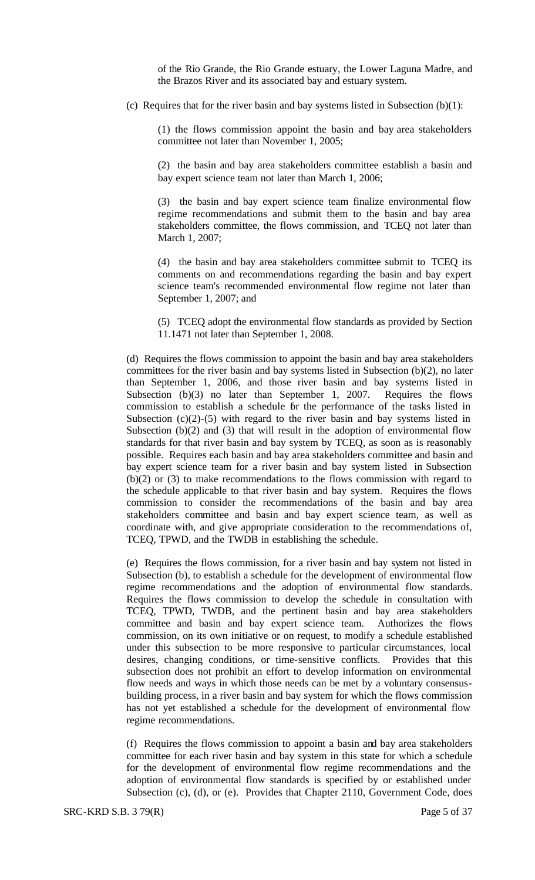of the Rio Grande, the Rio Grande estuary, the Lower Laguna Madre, and the Brazos River and its associated bay and estuary system.

(c) Requires that for the river basin and bay systems listed in Subsection  $(b)(1)$ :

(1) the flows commission appoint the basin and bay area stakeholders committee not later than November 1, 2005;

(2) the basin and bay area stakeholders committee establish a basin and bay expert science team not later than March 1, 2006;

(3) the basin and bay expert science team finalize environmental flow regime recommendations and submit them to the basin and bay area stakeholders committee, the flows commission, and TCEQ not later than March 1, 2007;

(4) the basin and bay area stakeholders committee submit to TCEQ its comments on and recommendations regarding the basin and bay expert science team's recommended environmental flow regime not later than September 1, 2007; and

(5) TCEQ adopt the environmental flow standards as provided by Section 11.1471 not later than September 1, 2008.

(d) Requires the flows commission to appoint the basin and bay area stakeholders committees for the river basin and bay systems listed in Subsection (b)(2), no later than September 1, 2006, and those river basin and bay systems listed in Subsection (b)(3) no later than September 1, 2007. Requires the flows commission to establish a schedule for the performance of the tasks listed in Subsection  $(c)(2)-(5)$  with regard to the river basin and bay systems listed in Subsection  $(b)(2)$  and  $(3)$  that will result in the adoption of environmental flow standards for that river basin and bay system by TCEQ, as soon as is reasonably possible. Requires each basin and bay area stakeholders committee and basin and bay expert science team for a river basin and bay system listed in Subsection (b)(2) or (3) to make recommendations to the flows commission with regard to the schedule applicable to that river basin and bay system. Requires the flows commission to consider the recommendations of the basin and bay area stakeholders committee and basin and bay expert science team, as well as coordinate with, and give appropriate consideration to the recommendations of, TCEQ, TPWD, and the TWDB in establishing the schedule.

(e) Requires the flows commission, for a river basin and bay system not listed in Subsection (b), to establish a schedule for the development of environmental flow regime recommendations and the adoption of environmental flow standards. Requires the flows commission to develop the schedule in consultation with TCEQ, TPWD, TWDB, and the pertinent basin and bay area stakeholders committee and basin and bay expert science team. Authorizes the flows commission, on its own initiative or on request, to modify a schedule established under this subsection to be more responsive to particular circumstances, local desires, changing conditions, or time-sensitive conflicts. Provides that this subsection does not prohibit an effort to develop information on environmental flow needs and ways in which those needs can be met by a voluntary consensusbuilding process, in a river basin and bay system for which the flows commission has not yet established a schedule for the development of environmental flow regime recommendations.

(f) Requires the flows commission to appoint a basin and bay area stakeholders committee for each river basin and bay system in this state for which a schedule for the development of environmental flow regime recommendations and the adoption of environmental flow standards is specified by or established under Subsection (c), (d), or (e). Provides that Chapter 2110, Government Code, does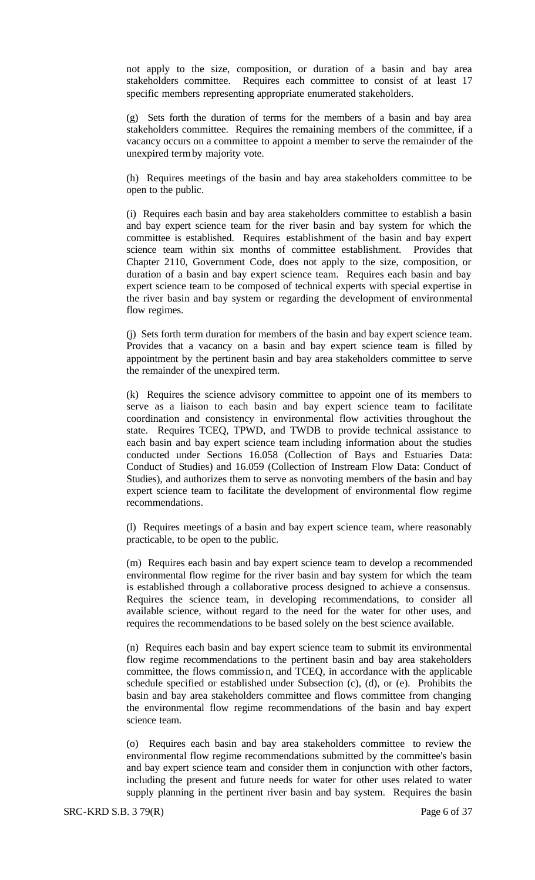not apply to the size, composition, or duration of a basin and bay area stakeholders committee. Requires each committee to consist of at least 17 specific members representing appropriate enumerated stakeholders.

(g) Sets forth the duration of terms for the members of a basin and bay area stakeholders committee. Requires the remaining members of the committee, if a vacancy occurs on a committee to appoint a member to serve the remainder of the unexpired termby majority vote.

(h) Requires meetings of the basin and bay area stakeholders committee to be open to the public.

(i) Requires each basin and bay area stakeholders committee to establish a basin and bay expert science team for the river basin and bay system for which the committee is established. Requires establishment of the basin and bay expert science team within six months of committee establishment. Provides that Chapter 2110, Government Code, does not apply to the size, composition, or duration of a basin and bay expert science team. Requires each basin and bay expert science team to be composed of technical experts with special expertise in the river basin and bay system or regarding the development of environmental flow regimes.

(j) Sets forth term duration for members of the basin and bay expert science team. Provides that a vacancy on a basin and bay expert science team is filled by appointment by the pertinent basin and bay area stakeholders committee to serve the remainder of the unexpired term.

(k) Requires the science advisory committee to appoint one of its members to serve as a liaison to each basin and bay expert science team to facilitate coordination and consistency in environmental flow activities throughout the state. Requires TCEQ, TPWD, and TWDB to provide technical assistance to each basin and bay expert science team including information about the studies conducted under Sections 16.058 (Collection of Bays and Estuaries Data: Conduct of Studies) and 16.059 (Collection of Instream Flow Data: Conduct of Studies), and authorizes them to serve as nonvoting members of the basin and bay expert science team to facilitate the development of environmental flow regime recommendations.

(l) Requires meetings of a basin and bay expert science team, where reasonably practicable, to be open to the public.

(m) Requires each basin and bay expert science team to develop a recommended environmental flow regime for the river basin and bay system for which the team is established through a collaborative process designed to achieve a consensus. Requires the science team, in developing recommendations, to consider all available science, without regard to the need for the water for other uses, and requires the recommendations to be based solely on the best science available.

(n) Requires each basin and bay expert science team to submit its environmental flow regime recommendations to the pertinent basin and bay area stakeholders committee, the flows commission, and TCEQ, in accordance with the applicable schedule specified or established under Subsection (c), (d), or (e). Prohibits the basin and bay area stakeholders committee and flows committee from changing the environmental flow regime recommendations of the basin and bay expert science team.

(o) Requires each basin and bay area stakeholders committee to review the environmental flow regime recommendations submitted by the committee's basin and bay expert science team and consider them in conjunction with other factors, including the present and future needs for water for other uses related to water supply planning in the pertinent river basin and bay system. Requires the basin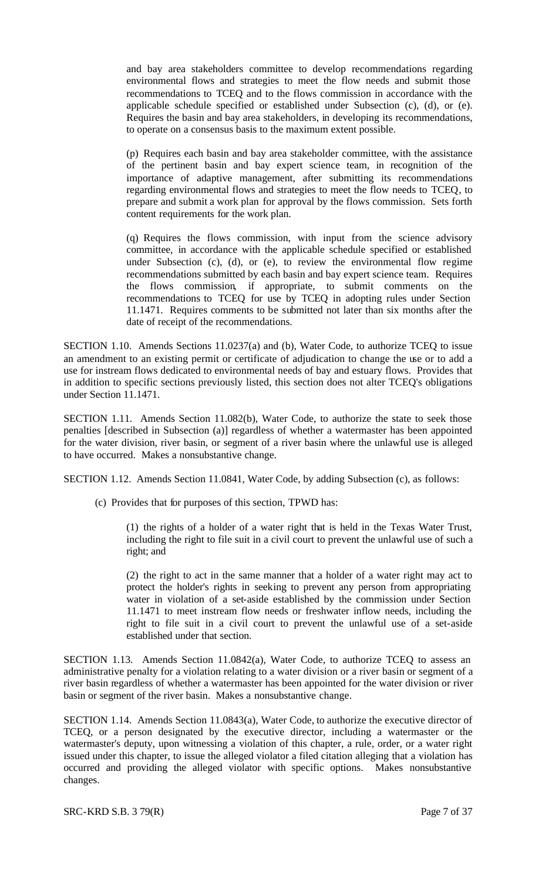and bay area stakeholders committee to develop recommendations regarding environmental flows and strategies to meet the flow needs and submit those recommendations to TCEQ and to the flows commission in accordance with the applicable schedule specified or established under Subsection (c), (d), or (e). Requires the basin and bay area stakeholders, in developing its recommendations, to operate on a consensus basis to the maximum extent possible.

(p) Requires each basin and bay area stakeholder committee, with the assistance of the pertinent basin and bay expert science team, in recognition of the importance of adaptive management, after submitting its recommendations regarding environmental flows and strategies to meet the flow needs to TCEQ, to prepare and submit a work plan for approval by the flows commission. Sets forth content requirements for the work plan.

(q) Requires the flows commission, with input from the science advisory committee, in accordance with the applicable schedule specified or established under Subsection (c), (d), or (e), to review the environmental flow regime recommendations submitted by each basin and bay expert science team. Requires the flows commission, if appropriate, to submit comments on the recommendations to TCEQ for use by TCEQ in adopting rules under Section 11.1471. Requires comments to be submitted not later than six months after the date of receipt of the recommendations.

SECTION 1.10. Amends Sections 11.0237(a) and (b), Water Code, to authorize TCEQ to issue an amendment to an existing permit or certificate of adjudication to change the use or to add a use for instream flows dedicated to environmental needs of bay and estuary flows. Provides that in addition to specific sections previously listed, this section does not alter TCEQ's obligations under Section 11.1471.

SECTION 1.11. Amends Section 11.082(b), Water Code, to authorize the state to seek those penalties [described in Subsection (a)] regardless of whether a watermaster has been appointed for the water division, river basin, or segment of a river basin where the unlawful use is alleged to have occurred. Makes a nonsubstantive change.

SECTION 1.12. Amends Section 11.0841, Water Code, by adding Subsection (c), as follows:

(c) Provides that for purposes of this section, TPWD has:

(1) the rights of a holder of a water right that is held in the Texas Water Trust, including the right to file suit in a civil court to prevent the unlawful use of such a right; and

(2) the right to act in the same manner that a holder of a water right may act to protect the holder's rights in seeking to prevent any person from appropriating water in violation of a set-aside established by the commission under Section 11.1471 to meet instream flow needs or freshwater inflow needs, including the right to file suit in a civil court to prevent the unlawful use of a set-aside established under that section.

SECTION 1.13. Amends Section 11.0842(a), Water Code, to authorize TCEQ to assess an administrative penalty for a violation relating to a water division or a river basin or segment of a river basin regardless of whether a watermaster has been appointed for the water division or river basin or segment of the river basin. Makes a nonsubstantive change.

SECTION 1.14. Amends Section 11.0843(a), Water Code, to authorize the executive director of TCEQ, or a person designated by the executive director, including a watermaster or the watermaster's deputy, upon witnessing a violation of this chapter, a rule, order, or a water right issued under this chapter, to issue the alleged violator a filed citation alleging that a violation has occurred and providing the alleged violator with specific options. Makes nonsubstantive changes.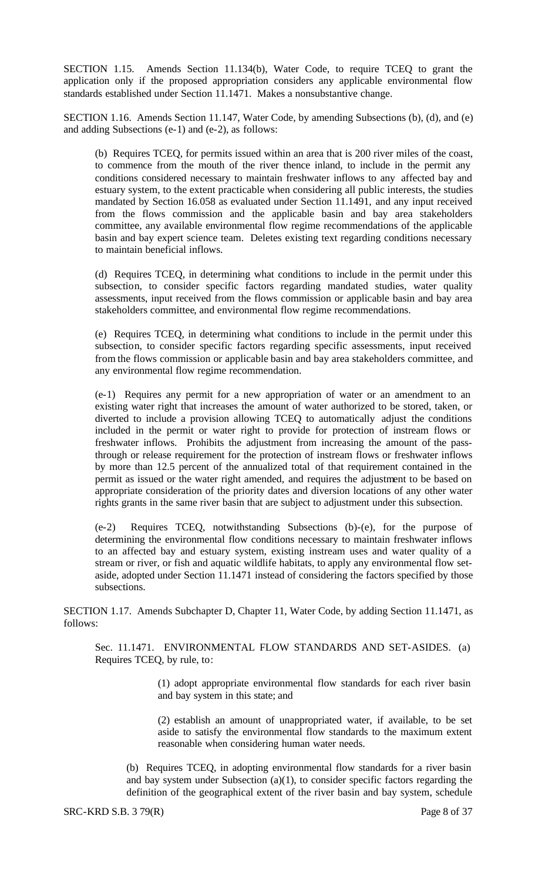SECTION 1.15. Amends Section 11.134(b), Water Code, to require TCEQ to grant the application only if the proposed appropriation considers any applicable environmental flow standards established under Section 11.1471. Makes a nonsubstantive change.

SECTION 1.16. Amends Section 11.147, Water Code, by amending Subsections (b), (d), and (e) and adding Subsections (e-1) and (e-2), as follows:

(b) Requires TCEQ, for permits issued within an area that is 200 river miles of the coast, to commence from the mouth of the river thence inland, to include in the permit any conditions considered necessary to maintain freshwater inflows to any affected bay and estuary system, to the extent practicable when considering all public interests, the studies mandated by Section 16.058 as evaluated under Section 11.1491, and any input received from the flows commission and the applicable basin and bay area stakeholders committee, any available environmental flow regime recommendations of the applicable basin and bay expert science team. Deletes existing text regarding conditions necessary to maintain beneficial inflows.

(d) Requires TCEQ, in determining what conditions to include in the permit under this subsection, to consider specific factors regarding mandated studies, water quality assessments, input received from the flows commission or applicable basin and bay area stakeholders committee, and environmental flow regime recommendations.

(e) Requires TCEQ, in determining what conditions to include in the permit under this subsection, to consider specific factors regarding specific assessments, input received from the flows commission or applicable basin and bay area stakeholders committee, and any environmental flow regime recommendation.

(e-1) Requires any permit for a new appropriation of water or an amendment to an existing water right that increases the amount of water authorized to be stored, taken, or diverted to include a provision allowing TCEQ to automatically adjust the conditions included in the permit or water right to provide for protection of instream flows or freshwater inflows. Prohibits the adjustment from increasing the amount of the passthrough or release requirement for the protection of instream flows or freshwater inflows by more than 12.5 percent of the annualized total of that requirement contained in the permit as issued or the water right amended, and requires the adjustment to be based on appropriate consideration of the priority dates and diversion locations of any other water rights grants in the same river basin that are subject to adjustment under this subsection.

(e-2) Requires TCEQ, notwithstanding Subsections (b)-(e), for the purpose of determining the environmental flow conditions necessary to maintain freshwater inflows to an affected bay and estuary system, existing instream uses and water quality of a stream or river, or fish and aquatic wildlife habitats, to apply any environmental flow setaside, adopted under Section 11.1471 instead of considering the factors specified by those subsections.

SECTION 1.17. Amends Subchapter D, Chapter 11, Water Code, by adding Section 11.1471, as follows:

Sec. 11.1471. ENVIRONMENTAL FLOW STANDARDS AND SET-ASIDES. (a) Requires TCEQ, by rule, to:

> (1) adopt appropriate environmental flow standards for each river basin and bay system in this state; and

> (2) establish an amount of unappropriated water, if available, to be set aside to satisfy the environmental flow standards to the maximum extent reasonable when considering human water needs.

(b) Requires TCEQ, in adopting environmental flow standards for a river basin and bay system under Subsection (a)(1), to consider specific factors regarding the definition of the geographical extent of the river basin and bay system, schedule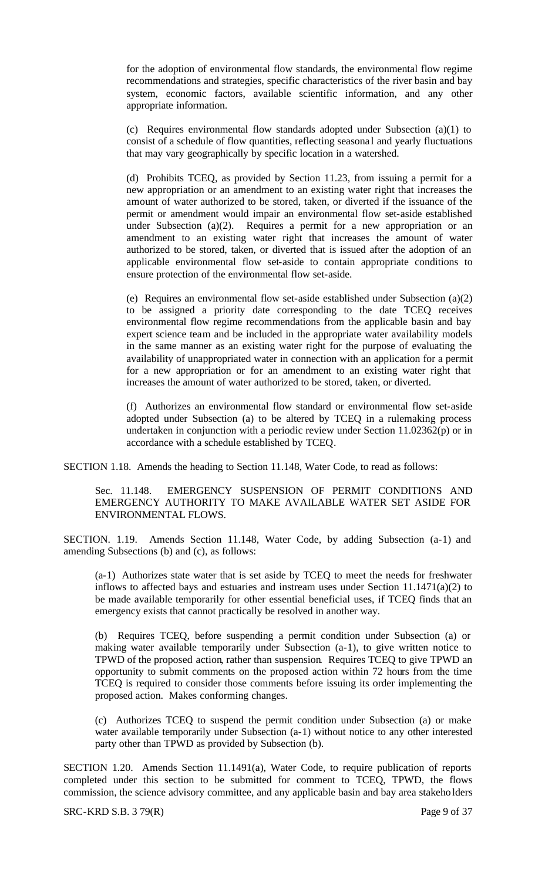for the adoption of environmental flow standards, the environmental flow regime recommendations and strategies, specific characteristics of the river basin and bay system, economic factors, available scientific information, and any other appropriate information.

(c) Requires environmental flow standards adopted under Subsection (a)(1) to consist of a schedule of flow quantities, reflecting seasona l and yearly fluctuations that may vary geographically by specific location in a watershed.

(d) Prohibits TCEQ, as provided by Section 11.23, from issuing a permit for a new appropriation or an amendment to an existing water right that increases the amount of water authorized to be stored, taken, or diverted if the issuance of the permit or amendment would impair an environmental flow set-aside established under Subsection  $(a)(2)$ . Requires a permit for a new appropriation or an amendment to an existing water right that increases the amount of water authorized to be stored, taken, or diverted that is issued after the adoption of an applicable environmental flow set-aside to contain appropriate conditions to ensure protection of the environmental flow set-aside.

(e) Requires an environmental flow set-aside established under Subsection (a)(2) to be assigned a priority date corresponding to the date TCEQ receives environmental flow regime recommendations from the applicable basin and bay expert science team and be included in the appropriate water availability models in the same manner as an existing water right for the purpose of evaluating the availability of unappropriated water in connection with an application for a permit for a new appropriation or for an amendment to an existing water right that increases the amount of water authorized to be stored, taken, or diverted.

(f) Authorizes an environmental flow standard or environmental flow set-aside adopted under Subsection (a) to be altered by TCEQ in a rulemaking process undertaken in conjunction with a periodic review under Section 11.02362(p) or in accordance with a schedule established by TCEQ.

SECTION 1.18. Amends the heading to Section 11.148, Water Code, to read as follows:

Sec. 11.148. EMERGENCY SUSPENSION OF PERMIT CONDITIONS AND EMERGENCY AUTHORITY TO MAKE AVAILABLE WATER SET ASIDE FOR ENVIRONMENTAL FLOWS.

SECTION. 1.19. Amends Section 11.148, Water Code, by adding Subsection (a-1) and amending Subsections (b) and (c), as follows:

(a-1) Authorizes state water that is set aside by TCEQ to meet the needs for freshwater inflows to affected bays and estuaries and instream uses under Section 11.1471(a)(2) to be made available temporarily for other essential beneficial uses, if TCEQ finds that an emergency exists that cannot practically be resolved in another way.

(b) Requires TCEQ, before suspending a permit condition under Subsection (a) or making water available temporarily under Subsection (a-1), to give written notice to TPWD of the proposed action, rather than suspension. Requires TCEQ to give TPWD an opportunity to submit comments on the proposed action within 72 hours from the time TCEQ is required to consider those comments before issuing its order implementing the proposed action. Makes conforming changes.

(c) Authorizes TCEQ to suspend the permit condition under Subsection (a) or make water available temporarily under Subsection (a-1) without notice to any other interested party other than TPWD as provided by Subsection (b).

SECTION 1.20. Amends Section 11.1491(a), Water Code, to require publication of reports completed under this section to be submitted for comment to TCEQ, TPWD, the flows commission, the science advisory committee, and any applicable basin and bay area stakeholders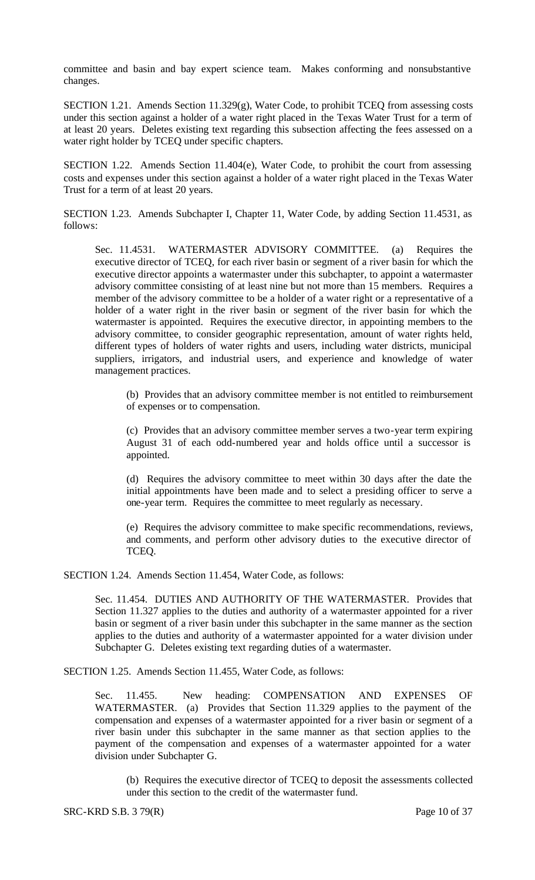committee and basin and bay expert science team. Makes conforming and nonsubstantive changes.

SECTION 1.21. Amends Section 11.329(g), Water Code, to prohibit TCEQ from assessing costs under this section against a holder of a water right placed in the Texas Water Trust for a term of at least 20 years. Deletes existing text regarding this subsection affecting the fees assessed on a water right holder by TCEQ under specific chapters.

SECTION 1.22. Amends Section 11.404(e), Water Code, to prohibit the court from assessing costs and expenses under this section against a holder of a water right placed in the Texas Water Trust for a term of at least 20 years.

SECTION 1.23. Amends Subchapter I, Chapter 11, Water Code, by adding Section 11.4531, as follows:

Sec. 11.4531. WATERMASTER ADVISORY COMMITTEE. (a) Requires the executive director of TCEQ, for each river basin or segment of a river basin for which the executive director appoints a watermaster under this subchapter, to appoint a watermaster advisory committee consisting of at least nine but not more than 15 members. Requires a member of the advisory committee to be a holder of a water right or a representative of a holder of a water right in the river basin or segment of the river basin for which the watermaster is appointed. Requires the executive director, in appointing members to the advisory committee, to consider geographic representation, amount of water rights held, different types of holders of water rights and users, including water districts, municipal suppliers, irrigators, and industrial users, and experience and knowledge of water management practices.

(b) Provides that an advisory committee member is not entitled to reimbursement of expenses or to compensation.

(c) Provides that an advisory committee member serves a two-year term expiring August 31 of each odd-numbered year and holds office until a successor is appointed.

(d) Requires the advisory committee to meet within 30 days after the date the initial appointments have been made and to select a presiding officer to serve a one-year term. Requires the committee to meet regularly as necessary.

(e) Requires the advisory committee to make specific recommendations, reviews, and comments, and perform other advisory duties to the executive director of TCEQ.

SECTION 1.24. Amends Section 11.454, Water Code, as follows:

Sec. 11.454. DUTIES AND AUTHORITY OF THE WATERMASTER. Provides that Section 11.327 applies to the duties and authority of a watermaster appointed for a river basin or segment of a river basin under this subchapter in the same manner as the section applies to the duties and authority of a watermaster appointed for a water division under Subchapter G. Deletes existing text regarding duties of a watermaster.

SECTION 1.25. Amends Section 11.455, Water Code, as follows:

Sec. 11.455. New heading: COMPENSATION AND EXPENSES OF WATERMASTER. (a) Provides that Section 11.329 applies to the payment of the compensation and expenses of a watermaster appointed for a river basin or segment of a river basin under this subchapter in the same manner as that section applies to the payment of the compensation and expenses of a watermaster appointed for a water division under Subchapter G.

(b) Requires the executive director of TCEQ to deposit the assessments collected under this section to the credit of the watermaster fund.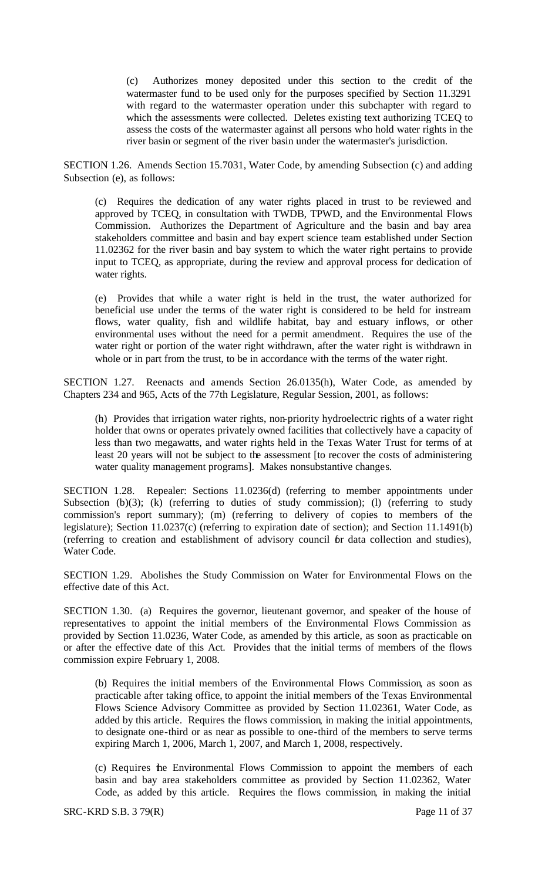(c) Authorizes money deposited under this section to the credit of the watermaster fund to be used only for the purposes specified by Section 11.3291 with regard to the watermaster operation under this subchapter with regard to which the assessments were collected. Deletes existing text authorizing TCEQ to assess the costs of the watermaster against all persons who hold water rights in the river basin or segment of the river basin under the watermaster's jurisdiction.

SECTION 1.26. Amends Section 15.7031, Water Code, by amending Subsection (c) and adding Subsection (e), as follows:

(c) Requires the dedication of any water rights placed in trust to be reviewed and approved by TCEQ, in consultation with TWDB, TPWD, and the Environmental Flows Commission. Authorizes the Department of Agriculture and the basin and bay area stakeholders committee and basin and bay expert science team established under Section 11.02362 for the river basin and bay system to which the water right pertains to provide input to TCEQ, as appropriate, during the review and approval process for dedication of water rights.

(e) Provides that while a water right is held in the trust, the water authorized for beneficial use under the terms of the water right is considered to be held for instream flows, water quality, fish and wildlife habitat, bay and estuary inflows, or other environmental uses without the need for a permit amendment. Requires the use of the water right or portion of the water right withdrawn, after the water right is withdrawn in whole or in part from the trust, to be in accordance with the terms of the water right.

SECTION 1.27. Reenacts and amends Section 26.0135(h), Water Code, as amended by Chapters 234 and 965, Acts of the 77th Legislature, Regular Session, 2001, as follows:

(h) Provides that irrigation water rights, non-priority hydroelectric rights of a water right holder that owns or operates privately owned facilities that collectively have a capacity of less than two megawatts, and water rights held in the Texas Water Trust for terms of at least 20 years will not be subject to the assessment [to recover the costs of administering water quality management programs]. Makes nonsubstantive changes.

SECTION 1.28. Repealer: Sections 11.0236(d) (referring to member appointments under Subsection  $(b)(3)$ ;  $(k)$  (referring to duties of study commission); (1) (referring to study commission's report summary); (m) (referring to delivery of copies to members of the legislature); Section 11.0237(c) (referring to expiration date of section); and Section 11.1491(b) (referring to creation and establishment of advisory council for data collection and studies), Water Code.

SECTION 1.29. Abolishes the Study Commission on Water for Environmental Flows on the effective date of this Act.

SECTION 1.30. (a) Requires the governor, lieutenant governor, and speaker of the house of representatives to appoint the initial members of the Environmental Flows Commission as provided by Section 11.0236, Water Code, as amended by this article, as soon as practicable on or after the effective date of this Act. Provides that the initial terms of members of the flows commission expire February 1, 2008.

(b) Requires the initial members of the Environmental Flows Commission, as soon as practicable after taking office, to appoint the initial members of the Texas Environmental Flows Science Advisory Committee as provided by Section 11.02361, Water Code, as added by this article. Requires the flows commission, in making the initial appointments, to designate one-third or as near as possible to one-third of the members to serve terms expiring March 1, 2006, March 1, 2007, and March 1, 2008, respectively.

(c) Requires the Environmental Flows Commission to appoint the members of each basin and bay area stakeholders committee as provided by Section 11.02362, Water Code, as added by this article. Requires the flows commission, in making the initial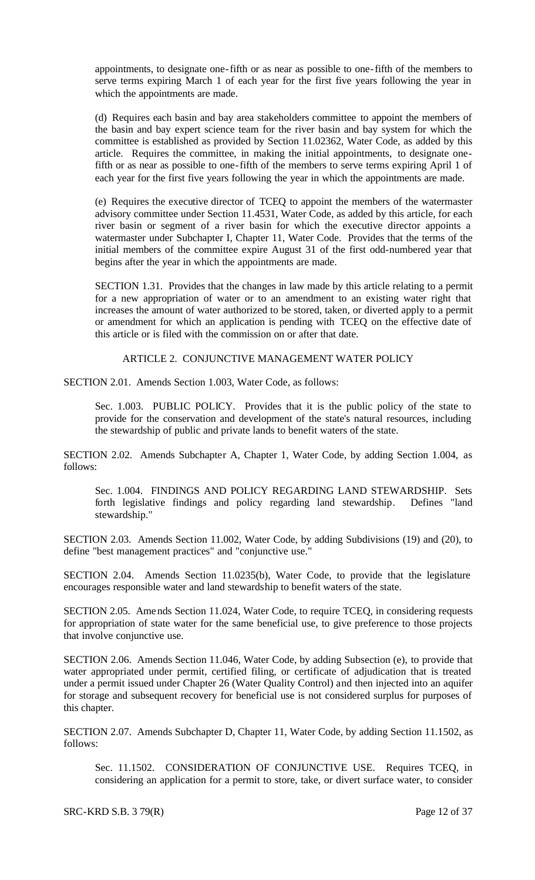appointments, to designate one-fifth or as near as possible to one-fifth of the members to serve terms expiring March 1 of each year for the first five years following the year in which the appointments are made.

(d) Requires each basin and bay area stakeholders committee to appoint the members of the basin and bay expert science team for the river basin and bay system for which the committee is established as provided by Section 11.02362, Water Code, as added by this article. Requires the committee, in making the initial appointments, to designate onefifth or as near as possible to one-fifth of the members to serve terms expiring April 1 of each year for the first five years following the year in which the appointments are made.

(e) Requires the executive director of TCEQ to appoint the members of the watermaster advisory committee under Section 11.4531, Water Code, as added by this article, for each river basin or segment of a river basin for which the executive director appoints a watermaster under Subchapter I, Chapter 11, Water Code. Provides that the terms of the initial members of the committee expire August 31 of the first odd-numbered year that begins after the year in which the appointments are made.

SECTION 1.31. Provides that the changes in law made by this article relating to a permit for a new appropriation of water or to an amendment to an existing water right that increases the amount of water authorized to be stored, taken, or diverted apply to a permit or amendment for which an application is pending with TCEQ on the effective date of this article or is filed with the commission on or after that date.

#### ARTICLE 2. CONJUNCTIVE MANAGEMENT WATER POLICY

SECTION 2.01. Amends Section 1.003, Water Code, as follows:

Sec. 1.003. PUBLIC POLICY. Provides that it is the public policy of the state to provide for the conservation and development of the state's natural resources, including the stewardship of public and private lands to benefit waters of the state.

SECTION 2.02. Amends Subchapter A, Chapter 1, Water Code, by adding Section 1.004, as follows:

Sec. 1.004. FINDINGS AND POLICY REGARDING LAND STEWARDSHIP. Sets forth legislative findings and policy regarding land stewardship. Defines "land stewardship."

SECTION 2.03. Amends Section 11.002, Water Code, by adding Subdivisions (19) and (20), to define "best management practices" and "conjunctive use."

SECTION 2.04. Amends Section 11.0235(b), Water Code, to provide that the legislature encourages responsible water and land stewardship to benefit waters of the state.

SECTION 2.05. Amends Section 11.024, Water Code, to require TCEQ, in considering requests for appropriation of state water for the same beneficial use, to give preference to those projects that involve conjunctive use.

SECTION 2.06. Amends Section 11.046, Water Code, by adding Subsection (e), to provide that water appropriated under permit, certified filing, or certificate of adjudication that is treated under a permit issued under Chapter 26 (Water Quality Control) and then injected into an aquifer for storage and subsequent recovery for beneficial use is not considered surplus for purposes of this chapter.

SECTION 2.07. Amends Subchapter D, Chapter 11, Water Code, by adding Section 11.1502, as follows:

Sec. 11.1502. CONSIDERATION OF CONJUNCTIVE USE. Requires TCEQ, in considering an application for a permit to store, take, or divert surface water, to consider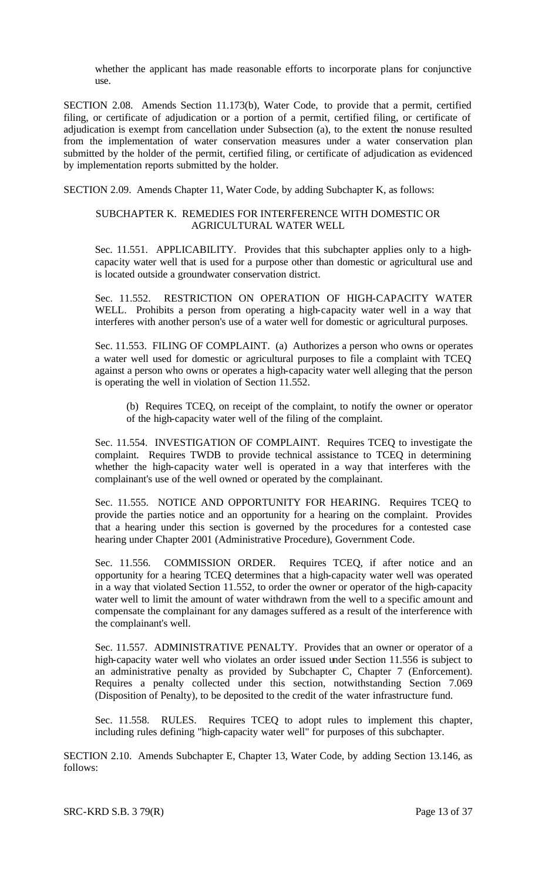whether the applicant has made reasonable efforts to incorporate plans for conjunctive use.

SECTION 2.08. Amends Section 11.173(b), Water Code, to provide that a permit, certified filing, or certificate of adjudication or a portion of a permit, certified filing, or certificate of adjudication is exempt from cancellation under Subsection (a), to the extent the nonuse resulted from the implementation of water conservation measures under a water conservation plan submitted by the holder of the permit, certified filing, or certificate of adjudication as evidenced by implementation reports submitted by the holder.

SECTION 2.09. Amends Chapter 11, Water Code, by adding Subchapter K, as follows:

#### SUBCHAPTER K. REMEDIES FOR INTERFERENCE WITH DOMESTIC OR AGRICULTURAL WATER WELL

Sec. 11.551. APPLICABILITY. Provides that this subchapter applies only to a highcapacity water well that is used for a purpose other than domestic or agricultural use and is located outside a groundwater conservation district.

Sec. 11.552. RESTRICTION ON OPERATION OF HIGH-CAPACITY WATER WELL. Prohibits a person from operating a high-capacity water well in a way that interferes with another person's use of a water well for domestic or agricultural purposes.

Sec. 11.553. FILING OF COMPLAINT. (a) Authorizes a person who owns or operates a water well used for domestic or agricultural purposes to file a complaint with TCEQ against a person who owns or operates a high-capacity water well alleging that the person is operating the well in violation of Section 11.552.

(b) Requires TCEQ, on receipt of the complaint, to notify the owner or operator of the high-capacity water well of the filing of the complaint.

Sec. 11.554. INVESTIGATION OF COMPLAINT. Requires TCEQ to investigate the complaint. Requires TWDB to provide technical assistance to TCEQ in determining whether the high-capacity water well is operated in a way that interferes with the complainant's use of the well owned or operated by the complainant.

Sec. 11.555. NOTICE AND OPPORTUNITY FOR HEARING. Requires TCEQ to provide the parties notice and an opportunity for a hearing on the complaint. Provides that a hearing under this section is governed by the procedures for a contested case hearing under Chapter 2001 (Administrative Procedure), Government Code.

Sec. 11.556. COMMISSION ORDER. Requires TCEQ, if after notice and an opportunity for a hearing TCEQ determines that a high-capacity water well was operated in a way that violated Section 11.552, to order the owner or operator of the high-capacity water well to limit the amount of water withdrawn from the well to a specific amount and compensate the complainant for any damages suffered as a result of the interference with the complainant's well.

Sec. 11.557. ADMINISTRATIVE PENALTY. Provides that an owner or operator of a high-capacity water well who violates an order issued under Section 11.556 is subject to an administrative penalty as provided by Subchapter C, Chapter 7 (Enforcement). Requires a penalty collected under this section, notwithstanding Section 7.069 (Disposition of Penalty), to be deposited to the credit of the water infrastructure fund.

Sec. 11.558. RULES. Requires TCEQ to adopt rules to implement this chapter, including rules defining "high-capacity water well" for purposes of this subchapter.

SECTION 2.10. Amends Subchapter E, Chapter 13, Water Code, by adding Section 13.146, as follows:

SRC-KRD S.B. 3 79(R) Page 13 of 37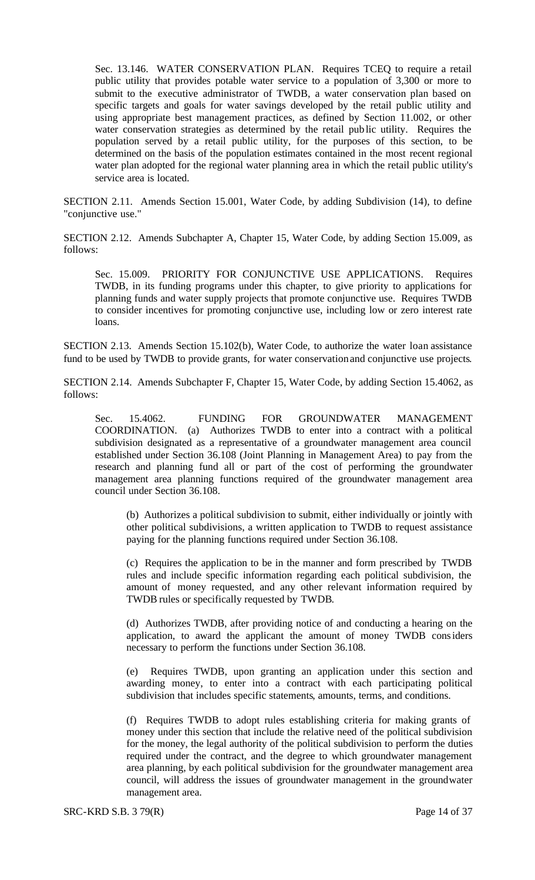Sec. 13.146. WATER CONSERVATION PLAN. Requires TCEQ to require a retail public utility that provides potable water service to a population of 3,300 or more to submit to the executive administrator of TWDB, a water conservation plan based on specific targets and goals for water savings developed by the retail public utility and using appropriate best management practices, as defined by Section 11.002, or other water conservation strategies as determined by the retail public utility. Requires the population served by a retail public utility, for the purposes of this section, to be determined on the basis of the population estimates contained in the most recent regional water plan adopted for the regional water planning area in which the retail public utility's service area is located.

SECTION 2.11. Amends Section 15.001, Water Code, by adding Subdivision (14), to define "conjunctive use."

SECTION 2.12. Amends Subchapter A, Chapter 15, Water Code, by adding Section 15.009, as follows:

Sec. 15.009. PRIORITY FOR CONJUNCTIVE USE APPLICATIONS. Requires TWDB, in its funding programs under this chapter, to give priority to applications for planning funds and water supply projects that promote conjunctive use. Requires TWDB to consider incentives for promoting conjunctive use, including low or zero interest rate loans.

SECTION 2.13. Amends Section 15.102(b), Water Code, to authorize the water loan assistance fund to be used by TWDB to provide grants, for water conservation and conjunctive use projects.

SECTION 2.14. Amends Subchapter F, Chapter 15, Water Code, by adding Section 15.4062, as follows:

Sec. 15.4062. FUNDING FOR GROUNDWATER MANAGEMENT COORDINATION. (a) Authorizes TWDB to enter into a contract with a political subdivision designated as a representative of a groundwater management area council established under Section 36.108 (Joint Planning in Management Area) to pay from the research and planning fund all or part of the cost of performing the groundwater management area planning functions required of the groundwater management area council under Section 36.108.

(b) Authorizes a political subdivision to submit, either individually or jointly with other political subdivisions, a written application to TWDB to request assistance paying for the planning functions required under Section 36.108.

(c) Requires the application to be in the manner and form prescribed by TWDB rules and include specific information regarding each political subdivision, the amount of money requested, and any other relevant information required by TWDB rules or specifically requested by TWDB.

(d) Authorizes TWDB, after providing notice of and conducting a hearing on the application, to award the applicant the amount of money TWDB considers necessary to perform the functions under Section 36.108.

(e) Requires TWDB, upon granting an application under this section and awarding money, to enter into a contract with each participating political subdivision that includes specific statements, amounts, terms, and conditions.

(f) Requires TWDB to adopt rules establishing criteria for making grants of money under this section that include the relative need of the political subdivision for the money, the legal authority of the political subdivision to perform the duties required under the contract, and the degree to which groundwater management area planning, by each political subdivision for the groundwater management area council, will address the issues of groundwater management in the groundwater management area.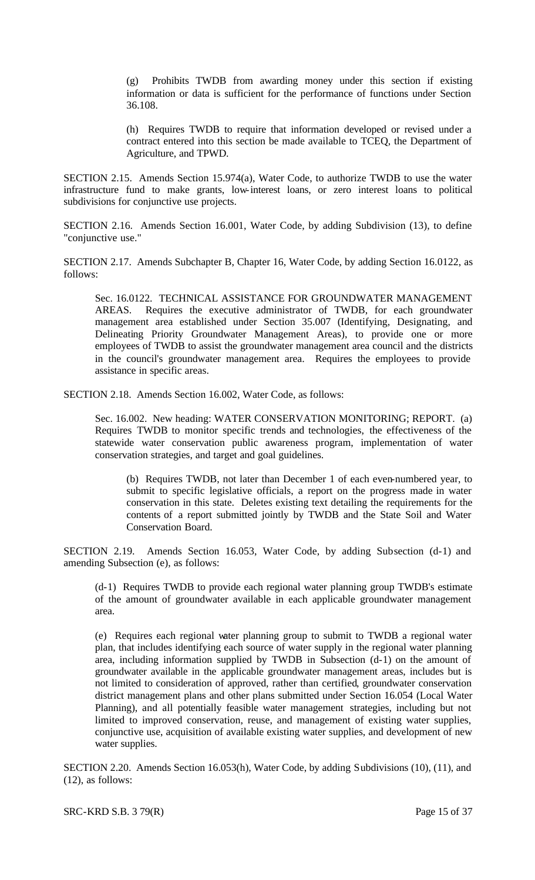(g) Prohibits TWDB from awarding money under this section if existing information or data is sufficient for the performance of functions under Section 36.108.

(h) Requires TWDB to require that information developed or revised under a contract entered into this section be made available to TCEQ, the Department of Agriculture, and TPWD.

SECTION 2.15. Amends Section 15.974(a), Water Code, to authorize TWDB to use the water infrastructure fund to make grants, low-interest loans, or zero interest loans to political subdivisions for conjunctive use projects.

SECTION 2.16. Amends Section 16.001, Water Code, by adding Subdivision (13), to define "conjunctive use."

SECTION 2.17. Amends Subchapter B, Chapter 16, Water Code, by adding Section 16.0122, as follows:

Sec. 16.0122. TECHNICAL ASSISTANCE FOR GROUNDWATER MANAGEMENT AREAS. Requires the executive administrator of TWDB, for each groundwater management area established under Section 35.007 (Identifying, Designating, and Delineating Priority Groundwater Management Areas), to provide one or more employees of TWDB to assist the groundwater management area council and the districts in the council's groundwater management area. Requires the employees to provide assistance in specific areas.

SECTION 2.18. Amends Section 16.002, Water Code, as follows:

Sec. 16.002. New heading: WATER CONSERVATION MONITORING; REPORT. (a) Requires TWDB to monitor specific trends and technologies, the effectiveness of the statewide water conservation public awareness program, implementation of water conservation strategies, and target and goal guidelines.

(b) Requires TWDB, not later than December 1 of each even-numbered year, to submit to specific legislative officials, a report on the progress made in water conservation in this state. Deletes existing text detailing the requirements for the contents of a report submitted jointly by TWDB and the State Soil and Water Conservation Board.

SECTION 2.19. Amends Section 16.053, Water Code, by adding Subsection (d-1) and amending Subsection (e), as follows:

(d-1) Requires TWDB to provide each regional water planning group TWDB's estimate of the amount of groundwater available in each applicable groundwater management area.

(e) Requires each regional water planning group to submit to TWDB a regional water plan, that includes identifying each source of water supply in the regional water planning area, including information supplied by TWDB in Subsection (d-1) on the amount of groundwater available in the applicable groundwater management areas, includes but is not limited to consideration of approved, rather than certified, groundwater conservation district management plans and other plans submitted under Section 16.054 (Local Water Planning), and all potentially feasible water management strategies, including but not limited to improved conservation, reuse, and management of existing water supplies, conjunctive use, acquisition of available existing water supplies, and development of new water supplies.

SECTION 2.20. Amends Section 16.053(h), Water Code, by adding Subdivisions (10), (11), and (12), as follows: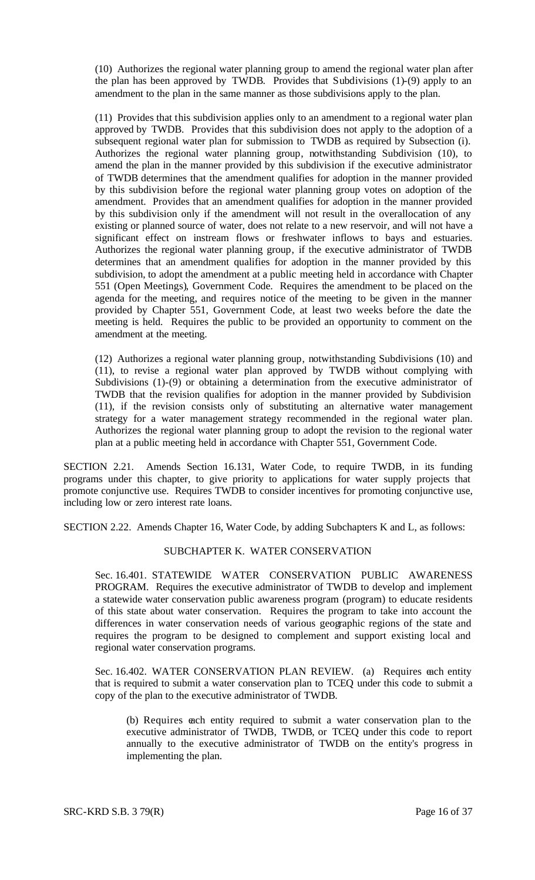(10) Authorizes the regional water planning group to amend the regional water plan after the plan has been approved by TWDB. Provides that Subdivisions (1)-(9) apply to an amendment to the plan in the same manner as those subdivisions apply to the plan.

(11) Provides that this subdivision applies only to an amendment to a regional water plan approved by TWDB. Provides that this subdivision does not apply to the adoption of a subsequent regional water plan for submission to TWDB as required by Subsection (i). Authorizes the regional water planning group, notwithstanding Subdivision (10), to amend the plan in the manner provided by this subdivision if the executive administrator of TWDB determines that the amendment qualifies for adoption in the manner provided by this subdivision before the regional water planning group votes on adoption of the amendment. Provides that an amendment qualifies for adoption in the manner provided by this subdivision only if the amendment will not result in the overallocation of any existing or planned source of water, does not relate to a new reservoir, and will not have a significant effect on instream flows or freshwater inflows to bays and estuaries. Authorizes the regional water planning group, if the executive administrator of TWDB determines that an amendment qualifies for adoption in the manner provided by this subdivision, to adopt the amendment at a public meeting held in accordance with Chapter 551 (Open Meetings), Government Code. Requires the amendment to be placed on the agenda for the meeting, and requires notice of the meeting to be given in the manner provided by Chapter 551, Government Code, at least two weeks before the date the meeting is held. Requires the public to be provided an opportunity to comment on the amendment at the meeting.

(12) Authorizes a regional water planning group, notwithstanding Subdivisions (10) and (11), to revise a regional water plan approved by TWDB without complying with Subdivisions (1)-(9) or obtaining a determination from the executive administrator of TWDB that the revision qualifies for adoption in the manner provided by Subdivision (11), if the revision consists only of substituting an alternative water management strategy for a water management strategy recommended in the regional water plan. Authorizes the regional water planning group to adopt the revision to the regional water plan at a public meeting held in accordance with Chapter 551, Government Code.

SECTION 2.21. Amends Section 16.131, Water Code, to require TWDB, in its funding programs under this chapter, to give priority to applications for water supply projects that promote conjunctive use. Requires TWDB to consider incentives for promoting conjunctive use, including low or zero interest rate loans.

SECTION 2.22. Amends Chapter 16, Water Code, by adding Subchapters K and L, as follows:

## SUBCHAPTER K. WATER CONSERVATION

Sec. 16.401. STATEWIDE WATER CONSERVATION PUBLIC AWARENESS PROGRAM. Requires the executive administrator of TWDB to develop and implement a statewide water conservation public awareness program (program) to educate residents of this state about water conservation. Requires the program to take into account the differences in water conservation needs of various geographic regions of the state and requires the program to be designed to complement and support existing local and regional water conservation programs.

Sec. 16.402. WATER CONSERVATION PLAN REVIEW. (a) Requires each entity that is required to submit a water conservation plan to TCEQ under this code to submit a copy of the plan to the executive administrator of TWDB.

(b) Requires each entity required to submit a water conservation plan to the executive administrator of TWDB, TWDB, or TCEQ under this code to report annually to the executive administrator of TWDB on the entity's progress in implementing the plan.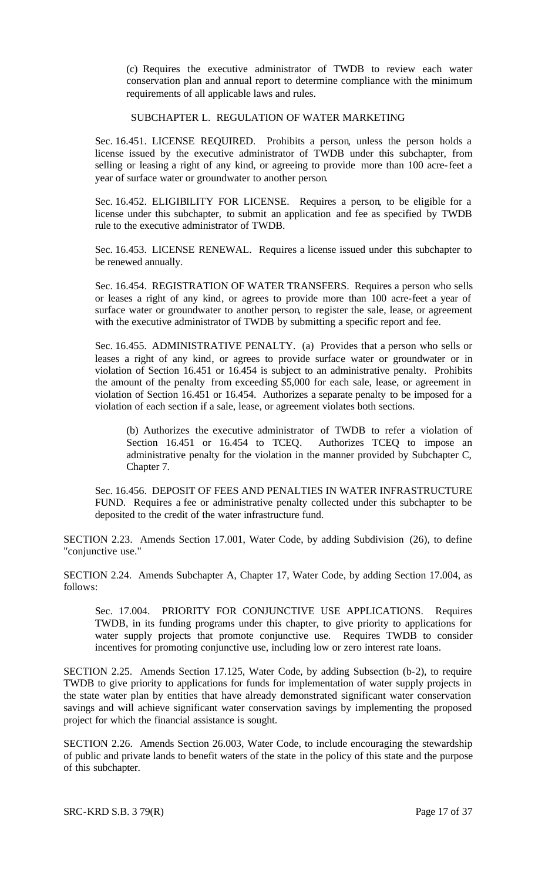(c) Requires the executive administrator of TWDB to review each water conservation plan and annual report to determine compliance with the minimum requirements of all applicable laws and rules.

#### SUBCHAPTER L. REGULATION OF WATER MARKETING

Sec. 16.451. LICENSE REQUIRED. Prohibits a person, unless the person holds a license issued by the executive administrator of TWDB under this subchapter, from selling or leasing a right of any kind, or agreeing to provide more than 100 acre-feet a year of surface water or groundwater to another person.

Sec. 16.452. ELIGIBILITY FOR LICENSE. Requires a person, to be eligible for a license under this subchapter, to submit an application and fee as specified by TWDB rule to the executive administrator of TWDB.

Sec. 16.453. LICENSE RENEWAL. Requires a license issued under this subchapter to be renewed annually.

Sec. 16.454. REGISTRATION OF WATER TRANSFERS. Requires a person who sells or leases a right of any kind, or agrees to provide more than 100 acre-feet a year of surface water or groundwater to another person, to register the sale, lease, or agreement with the executive administrator of TWDB by submitting a specific report and fee.

Sec. 16.455. ADMINISTRATIVE PENALTY. (a) Provides that a person who sells or leases a right of any kind, or agrees to provide surface water or groundwater or in violation of Section 16.451 or 16.454 is subject to an administrative penalty. Prohibits the amount of the penalty from exceeding \$5,000 for each sale, lease, or agreement in violation of Section 16.451 or 16.454. Authorizes a separate penalty to be imposed for a violation of each section if a sale, lease, or agreement violates both sections.

(b) Authorizes the executive administrator of TWDB to refer a violation of Section 16.451 or 16.454 to TCEQ. Authorizes TCEQ to impose an administrative penalty for the violation in the manner provided by Subchapter C, Chapter 7.

Sec. 16.456. DEPOSIT OF FEES AND PENALTIES IN WATER INFRASTRUCTURE FUND. Requires a fee or administrative penalty collected under this subchapter to be deposited to the credit of the water infrastructure fund.

SECTION 2.23. Amends Section 17.001, Water Code, by adding Subdivision (26), to define "conjunctive use."

SECTION 2.24. Amends Subchapter A, Chapter 17, Water Code, by adding Section 17.004, as follows:

Sec. 17.004. PRIORITY FOR CONJUNCTIVE USE APPLICATIONS. Requires TWDB, in its funding programs under this chapter, to give priority to applications for water supply projects that promote conjunctive use. Requires TWDB to consider incentives for promoting conjunctive use, including low or zero interest rate loans.

SECTION 2.25. Amends Section 17.125, Water Code, by adding Subsection (b-2), to require TWDB to give priority to applications for funds for implementation of water supply projects in the state water plan by entities that have already demonstrated significant water conservation savings and will achieve significant water conservation savings by implementing the proposed project for which the financial assistance is sought.

SECTION 2.26. Amends Section 26.003, Water Code, to include encouraging the stewardship of public and private lands to benefit waters of the state in the policy of this state and the purpose of this subchapter.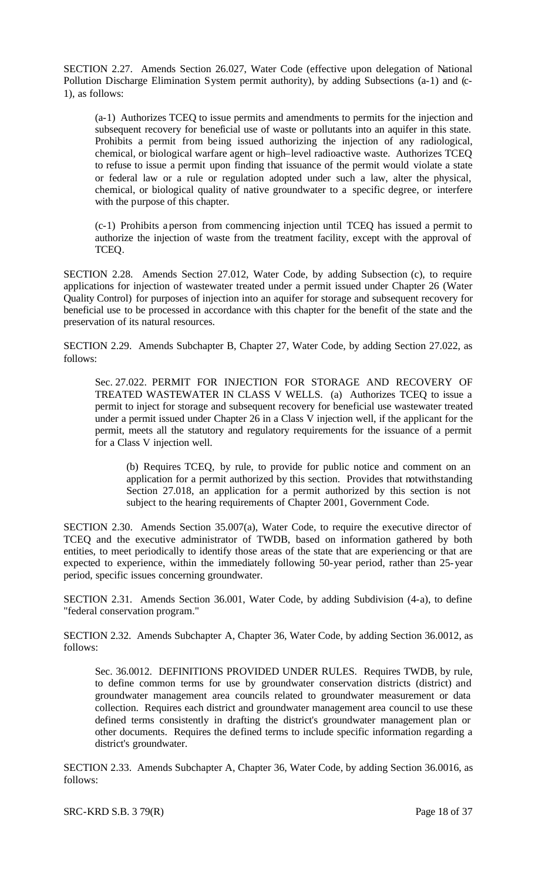SECTION 2.27. Amends Section 26.027, Water Code (effective upon delegation of National Pollution Discharge Elimination System permit authority), by adding Subsections (a-1) and (c-1), as follows:

(a-1) Authorizes TCEQ to issue permits and amendments to permits for the injection and subsequent recovery for beneficial use of waste or pollutants into an aquifer in this state. Prohibits a permit from being issued authorizing the injection of any radiological, chemical, or biological warfare agent or high–level radioactive waste. Authorizes TCEQ to refuse to issue a permit upon finding that issuance of the permit would violate a state or federal law or a rule or regulation adopted under such a law, alter the physical, chemical, or biological quality of native groundwater to a specific degree, or interfere with the purpose of this chapter.

(c-1) Prohibits a person from commencing injection until TCEQ has issued a permit to authorize the injection of waste from the treatment facility, except with the approval of TCEQ.

SECTION 2.28. Amends Section 27.012, Water Code, by adding Subsection (c), to require applications for injection of wastewater treated under a permit issued under Chapter 26 (Water Quality Control) for purposes of injection into an aquifer for storage and subsequent recovery for beneficial use to be processed in accordance with this chapter for the benefit of the state and the preservation of its natural resources.

SECTION 2.29. Amends Subchapter B, Chapter 27, Water Code, by adding Section 27.022, as follows:

Sec. 27.022. PERMIT FOR INJECTION FOR STORAGE AND RECOVERY OF TREATED WASTEWATER IN CLASS V WELLS. (a) Authorizes TCEQ to issue a permit to inject for storage and subsequent recovery for beneficial use wastewater treated under a permit issued under Chapter 26 in a Class V injection well, if the applicant for the permit, meets all the statutory and regulatory requirements for the issuance of a permit for a Class V injection well.

(b) Requires TCEQ, by rule, to provide for public notice and comment on an application for a permit authorized by this section. Provides that notwithstanding Section 27.018, an application for a permit authorized by this section is not subject to the hearing requirements of Chapter 2001, Government Code.

SECTION 2.30. Amends Section 35.007(a), Water Code, to require the executive director of TCEQ and the executive administrator of TWDB, based on information gathered by both entities, to meet periodically to identify those areas of the state that are experiencing or that are expected to experience, within the immediately following 50-year period, rather than 25-year period, specific issues concerning groundwater.

SECTION 2.31. Amends Section 36.001, Water Code, by adding Subdivision (4-a), to define "federal conservation program."

SECTION 2.32. Amends Subchapter A, Chapter 36, Water Code, by adding Section 36.0012, as follows:

Sec. 36.0012. DEFINITIONS PROVIDED UNDER RULES. Requires TWDB, by rule, to define common terms for use by groundwater conservation districts (district) and groundwater management area councils related to groundwater measurement or data collection. Requires each district and groundwater management area council to use these defined terms consistently in drafting the district's groundwater management plan or other documents. Requires the defined terms to include specific information regarding a district's groundwater.

SECTION 2.33. Amends Subchapter A, Chapter 36, Water Code, by adding Section 36.0016, as follows: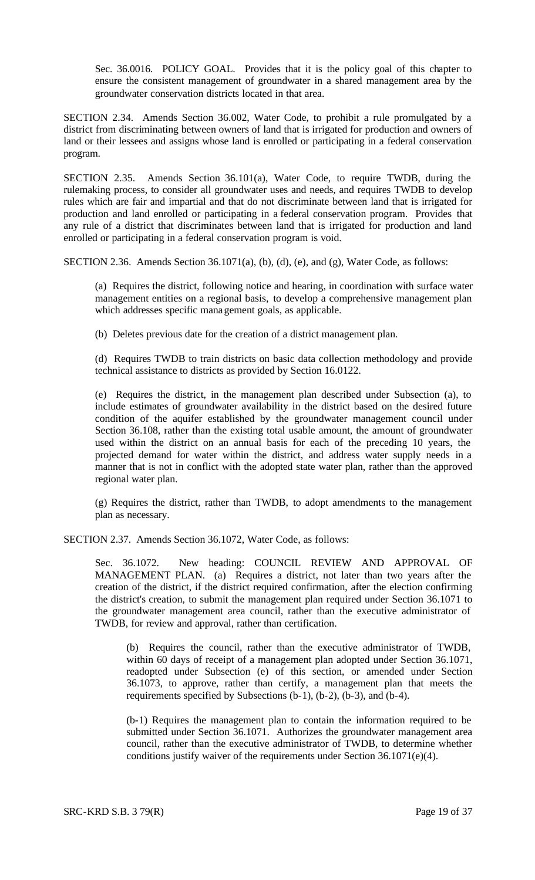Sec. 36.0016. POLICY GOAL. Provides that it is the policy goal of this chapter to ensure the consistent management of groundwater in a shared management area by the groundwater conservation districts located in that area.

SECTION 2.34. Amends Section 36.002, Water Code, to prohibit a rule promulgated by a district from discriminating between owners of land that is irrigated for production and owners of land or their lessees and assigns whose land is enrolled or participating in a federal conservation program.

SECTION 2.35. Amends Section 36.101(a), Water Code, to require TWDB, during the rulemaking process, to consider all groundwater uses and needs, and requires TWDB to develop rules which are fair and impartial and that do not discriminate between land that is irrigated for production and land enrolled or participating in a federal conservation program. Provides that any rule of a district that discriminates between land that is irrigated for production and land enrolled or participating in a federal conservation program is void.

SECTION 2.36. Amends Section 36.1071(a), (b), (d), (e), and (g), Water Code, as follows:

(a) Requires the district, following notice and hearing, in coordination with surface water management entities on a regional basis, to develop a comprehensive management plan which addresses specific management goals, as applicable.

(b) Deletes previous date for the creation of a district management plan.

(d) Requires TWDB to train districts on basic data collection methodology and provide technical assistance to districts as provided by Section 16.0122.

(e) Requires the district, in the management plan described under Subsection (a), to include estimates of groundwater availability in the district based on the desired future condition of the aquifer established by the groundwater management council under Section 36.108, rather than the existing total usable amount, the amount of groundwater used within the district on an annual basis for each of the preceding 10 years, the projected demand for water within the district, and address water supply needs in a manner that is not in conflict with the adopted state water plan, rather than the approved regional water plan.

(g) Requires the district, rather than TWDB, to adopt amendments to the management plan as necessary.

SECTION 2.37. Amends Section 36.1072, Water Code, as follows:

Sec. 36.1072. New heading: COUNCIL REVIEW AND APPROVAL OF MANAGEMENT PLAN. (a) Requires a district, not later than two years after the creation of the district, if the district required confirmation, after the election confirming the district's creation, to submit the management plan required under Section 36.1071 to the groundwater management area council, rather than the executive administrator of TWDB, for review and approval, rather than certification.

(b) Requires the council, rather than the executive administrator of TWDB, within 60 days of receipt of a management plan adopted under Section 36.1071, readopted under Subsection (e) of this section, or amended under Section 36.1073, to approve, rather than certify, a management plan that meets the requirements specified by Subsections (b-1), (b-2), (b-3), and (b-4).

(b-1) Requires the management plan to contain the information required to be submitted under Section 36.1071. Authorizes the groundwater management area council, rather than the executive administrator of TWDB, to determine whether conditions justify waiver of the requirements under Section 36.1071(e)(4).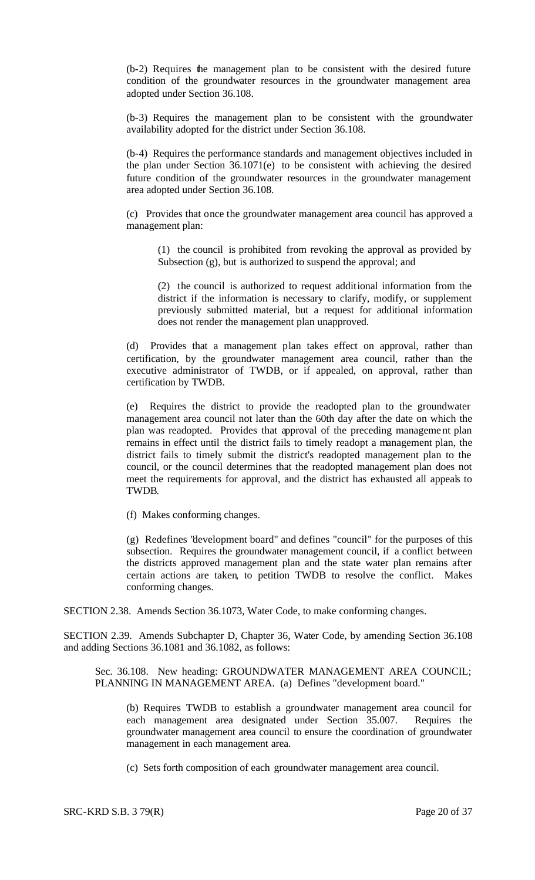(b-2) Requires the management plan to be consistent with the desired future condition of the groundwater resources in the groundwater management area adopted under Section 36.108.

(b-3) Requires the management plan to be consistent with the groundwater availability adopted for the district under Section 36.108.

(b-4) Requires the performance standards and management objectives included in the plan under Section 36.1071(e) to be consistent with achieving the desired future condition of the groundwater resources in the groundwater management area adopted under Section 36.108.

(c) Provides that once the groundwater management area council has approved a management plan:

(1) the council is prohibited from revoking the approval as provided by Subsection (g), but is authorized to suspend the approval; and

(2) the council is authorized to request additional information from the district if the information is necessary to clarify, modify, or supplement previously submitted material, but a request for additional information does not render the management plan unapproved.

(d) Provides that a management plan takes effect on approval, rather than certification, by the groundwater management area council, rather than the executive administrator of TWDB, or if appealed, on approval, rather than certification by TWDB.

(e) Requires the district to provide the readopted plan to the groundwater management area council not later than the 60th day after the date on which the plan was readopted. Provides that approval of the preceding management plan remains in effect until the district fails to timely readopt a management plan, the district fails to timely submit the district's readopted management plan to the council, or the council determines that the readopted management plan does not meet the requirements for approval, and the district has exhausted all appeals to TWDB.

(f) Makes conforming changes.

(g) Redefines "development board" and defines "council" for the purposes of this subsection. Requires the groundwater management council, if a conflict between the districts approved management plan and the state water plan remains after certain actions are taken, to petition TWDB to resolve the conflict. Makes conforming changes.

SECTION 2.38. Amends Section 36.1073, Water Code, to make conforming changes.

SECTION 2.39. Amends Subchapter D, Chapter 36, Water Code, by amending Section 36.108 and adding Sections 36.1081 and 36.1082, as follows:

Sec. 36.108. New heading: GROUNDWATER MANAGEMENT AREA COUNCIL; PLANNING IN MANAGEMENT AREA. (a) Defines "development board."

(b) Requires TWDB to establish a groundwater management area council for each management area designated under Section 35.007. Requires the groundwater management area council to ensure the coordination of groundwater management in each management area.

(c) Sets forth composition of each groundwater management area council.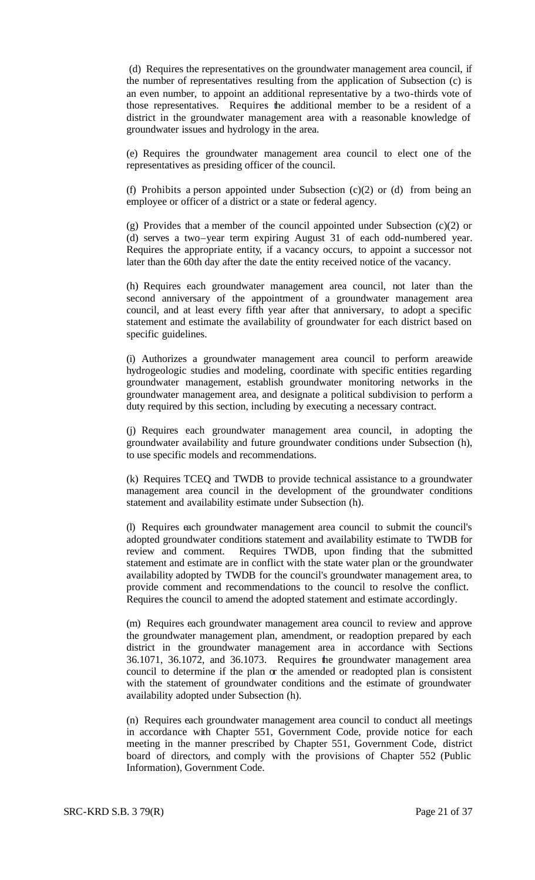(d) Requires the representatives on the groundwater management area council, if the number of representatives resulting from the application of Subsection (c) is an even number, to appoint an additional representative by a two-thirds vote of those representatives. Requires the additional member to be a resident of a district in the groundwater management area with a reasonable knowledge of groundwater issues and hydrology in the area.

(e) Requires the groundwater management area council to elect one of the representatives as presiding officer of the council.

(f) Prohibits a person appointed under Subsection (c)(2) or (d) from being an employee or officer of a district or a state or federal agency.

(g) Provides that a member of the council appointed under Subsection (c)(2) or (d) serves a two–year term expiring August 31 of each odd-numbered year. Requires the appropriate entity, if a vacancy occurs, to appoint a successor not later than the 60th day after the date the entity received notice of the vacancy.

(h) Requires each groundwater management area council, not later than the second anniversary of the appointment of a groundwater management area council, and at least every fifth year after that anniversary, to adopt a specific statement and estimate the availability of groundwater for each district based on specific guidelines.

(i) Authorizes a groundwater management area council to perform areawide hydrogeologic studies and modeling, coordinate with specific entities regarding groundwater management, establish groundwater monitoring networks in the groundwater management area, and designate a political subdivision to perform a duty required by this section, including by executing a necessary contract.

(j) Requires each groundwater management area council, in adopting the groundwater availability and future groundwater conditions under Subsection (h), to use specific models and recommendations.

(k) Requires TCEQ and TWDB to provide technical assistance to a groundwater management area council in the development of the groundwater conditions statement and availability estimate under Subsection (h).

(l) Requires each groundwater management area council to submit the council's adopted groundwater conditions statement and availability estimate to TWDB for review and comment. Requires TWDB, upon finding that the submitted statement and estimate are in conflict with the state water plan or the groundwater availability adopted by TWDB for the council's groundwater management area, to provide comment and recommendations to the council to resolve the conflict. Requires the council to amend the adopted statement and estimate accordingly.

(m) Requires each groundwater management area council to review and approve the groundwater management plan, amendment, or readoption prepared by each district in the groundwater management area in accordance with Sections 36.1071, 36.1072, and 36.1073. Requires the groundwater management area council to determine if the plan or the amended or readopted plan is consistent with the statement of groundwater conditions and the estimate of groundwater availability adopted under Subsection (h).

(n) Requires each groundwater management area council to conduct all meetings in accordance with Chapter 551, Government Code, provide notice for each meeting in the manner prescribed by Chapter 551, Government Code, district board of directors, and comply with the provisions of Chapter 552 (Public Information), Government Code.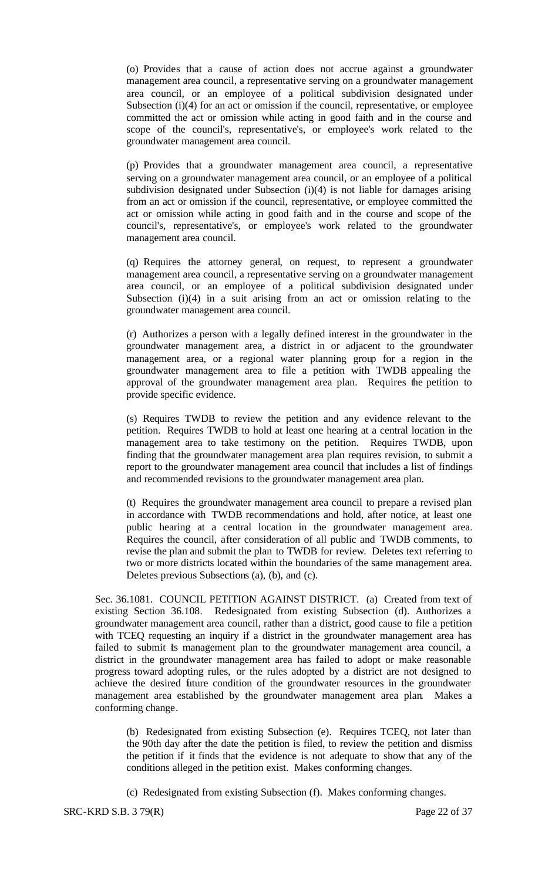(o) Provides that a cause of action does not accrue against a groundwater management area council, a representative serving on a groundwater management area council, or an employee of a political subdivision designated under Subsection (i)(4) for an act or omission if the council, representative, or employee committed the act or omission while acting in good faith and in the course and scope of the council's, representative's, or employee's work related to the groundwater management area council.

(p) Provides that a groundwater management area council, a representative serving on a groundwater management area council, or an employee of a political subdivision designated under Subsection (i)(4) is not liable for damages arising from an act or omission if the council, representative, or employee committed the act or omission while acting in good faith and in the course and scope of the council's, representative's, or employee's work related to the groundwater management area council.

(q) Requires the attorney general, on request, to represent a groundwater management area council, a representative serving on a groundwater management area council, or an employee of a political subdivision designated under Subsection  $(i)(4)$  in a suit arising from an act or omission relating to the groundwater management area council.

(r) Authorizes a person with a legally defined interest in the groundwater in the groundwater management area, a district in or adjacent to the groundwater management area, or a regional water planning group for a region in the groundwater management area to file a petition with TWDB appealing the approval of the groundwater management area plan. Requires the petition to provide specific evidence.

(s) Requires TWDB to review the petition and any evidence relevant to the petition. Requires TWDB to hold at least one hearing at a central location in the management area to take testimony on the petition. Requires TWDB, upon finding that the groundwater management area plan requires revision, to submit a report to the groundwater management area council that includes a list of findings and recommended revisions to the groundwater management area plan.

(t) Requires the groundwater management area council to prepare a revised plan in accordance with TWDB recommendations and hold, after notice, at least one public hearing at a central location in the groundwater management area. Requires the council, after consideration of all public and TWDB comments, to revise the plan and submit the plan to TWDB for review. Deletes text referring to two or more districts located within the boundaries of the same management area. Deletes previous Subsections (a), (b), and (c).

Sec. 36.1081. COUNCIL PETITION AGAINST DISTRICT. (a) Created from text of existing Section 36.108. Redesignated from existing Subsection (d). Authorizes a groundwater management area council, rather than a district, good cause to file a petition with TCEQ requesting an inquiry if a district in the groundwater management area has failed to submit is management plan to the groundwater management area council, a district in the groundwater management area has failed to adopt or make reasonable progress toward adopting rules, or the rules adopted by a district are not designed to achieve the desired future condition of the groundwater resources in the groundwater management area established by the groundwater management area plan. Makes a conforming change.

(b) Redesignated from existing Subsection (e). Requires TCEQ, not later than the 90th day after the date the petition is filed, to review the petition and dismiss the petition if it finds that the evidence is not adequate to show that any of the conditions alleged in the petition exist. Makes conforming changes.

(c) Redesignated from existing Subsection (f). Makes conforming changes.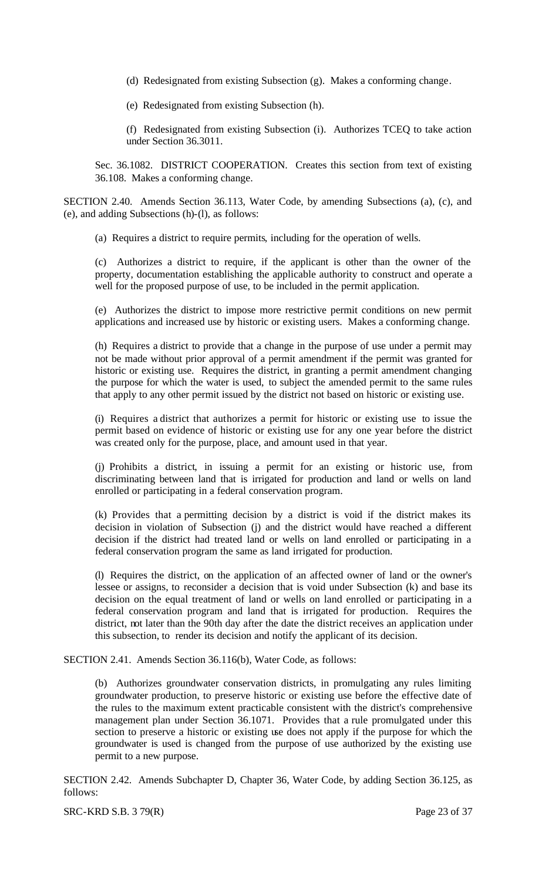- (d) Redesignated from existing Subsection (g). Makes a conforming change.
- (e) Redesignated from existing Subsection (h).

(f) Redesignated from existing Subsection (i). Authorizes TCEQ to take action under Section 36.3011.

Sec. 36.1082. DISTRICT COOPERATION. Creates this section from text of existing 36.108. Makes a conforming change.

SECTION 2.40. Amends Section 36.113, Water Code, by amending Subsections (a), (c), and (e), and adding Subsections (h)-(l), as follows:

(a) Requires a district to require permits, including for the operation of wells.

(c) Authorizes a district to require, if the applicant is other than the owner of the property, documentation establishing the applicable authority to construct and operate a well for the proposed purpose of use, to be included in the permit application.

(e) Authorizes the district to impose more restrictive permit conditions on new permit applications and increased use by historic or existing users. Makes a conforming change.

(h) Requires a district to provide that a change in the purpose of use under a permit may not be made without prior approval of a permit amendment if the permit was granted for historic or existing use. Requires the district, in granting a permit amendment changing the purpose for which the water is used, to subject the amended permit to the same rules that apply to any other permit issued by the district not based on historic or existing use.

(i) Requires a district that authorizes a permit for historic or existing use to issue the permit based on evidence of historic or existing use for any one year before the district was created only for the purpose, place, and amount used in that year.

(j) Prohibits a district, in issuing a permit for an existing or historic use, from discriminating between land that is irrigated for production and land or wells on land enrolled or participating in a federal conservation program.

(k) Provides that a permitting decision by a district is void if the district makes its decision in violation of Subsection (j) and the district would have reached a different decision if the district had treated land or wells on land enrolled or participating in a federal conservation program the same as land irrigated for production.

(l) Requires the district, on the application of an affected owner of land or the owner's lessee or assigns, to reconsider a decision that is void under Subsection (k) and base its decision on the equal treatment of land or wells on land enrolled or participating in a federal conservation program and land that is irrigated for production. Requires the district, not later than the 90th day after the date the district receives an application under this subsection, to render its decision and notify the applicant of its decision.

SECTION 2.41. Amends Section 36.116(b), Water Code, as follows:

(b) Authorizes groundwater conservation districts, in promulgating any rules limiting groundwater production, to preserve historic or existing use before the effective date of the rules to the maximum extent practicable consistent with the district's comprehensive management plan under Section 36.1071. Provides that a rule promulgated under this section to preserve a historic or existing use does not apply if the purpose for which the groundwater is used is changed from the purpose of use authorized by the existing use permit to a new purpose.

SECTION 2.42. Amends Subchapter D, Chapter 36, Water Code, by adding Section 36.125, as follows: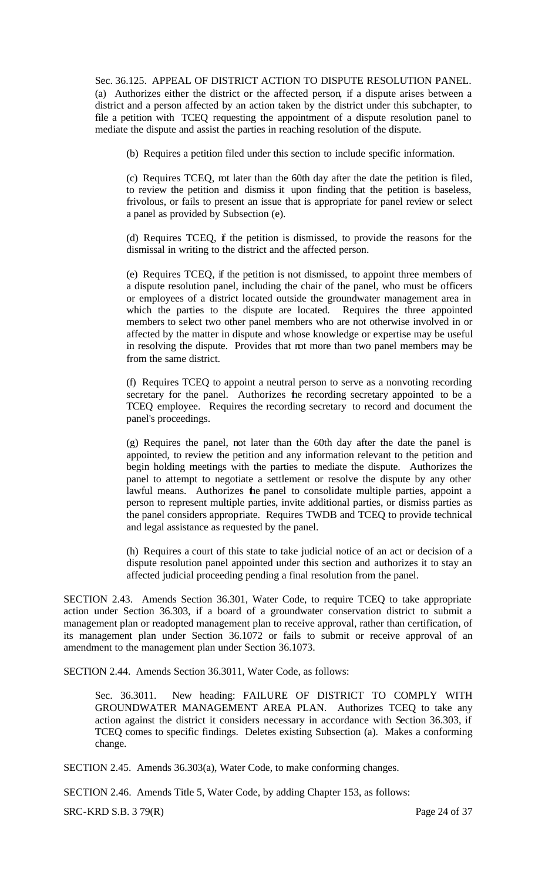Sec. 36.125. APPEAL OF DISTRICT ACTION TO DISPUTE RESOLUTION PANEL. (a) Authorizes either the district or the affected person, if a dispute arises between a district and a person affected by an action taken by the district under this subchapter, to file a petition with TCEQ requesting the appointment of a dispute resolution panel to mediate the dispute and assist the parties in reaching resolution of the dispute.

(b) Requires a petition filed under this section to include specific information.

(c) Requires TCEQ, not later than the 60th day after the date the petition is filed, to review the petition and dismiss it upon finding that the petition is baseless, frivolous, or fails to present an issue that is appropriate for panel review or select a panel as provided by Subsection (e).

(d) Requires TCEQ, if the petition is dismissed, to provide the reasons for the dismissal in writing to the district and the affected person.

(e) Requires TCEQ, if the petition is not dismissed, to appoint three members of a dispute resolution panel, including the chair of the panel, who must be officers or employees of a district located outside the groundwater management area in which the parties to the dispute are located. Requires the three appointed members to select two other panel members who are not otherwise involved in or affected by the matter in dispute and whose knowledge or expertise may be useful in resolving the dispute. Provides that mot more than two panel members may be from the same district.

(f) Requires TCEQ to appoint a neutral person to serve as a nonvoting recording secretary for the panel. Authorizes the recording secretary appointed to be a TCEQ employee. Requires the recording secretary to record and document the panel's proceedings.

(g) Requires the panel, not later than the 60th day after the date the panel is appointed, to review the petition and any information relevant to the petition and begin holding meetings with the parties to mediate the dispute. Authorizes the panel to attempt to negotiate a settlement or resolve the dispute by any other lawful means. Authorizes the panel to consolidate multiple parties, appoint a person to represent multiple parties, invite additional parties, or dismiss parties as the panel considers appropriate. Requires TWDB and TCEQ to provide technical and legal assistance as requested by the panel.

(h) Requires a court of this state to take judicial notice of an act or decision of a dispute resolution panel appointed under this section and authorizes it to stay an affected judicial proceeding pending a final resolution from the panel.

SECTION 2.43. Amends Section 36.301, Water Code, to require TCEQ to take appropriate action under Section 36.303, if a board of a groundwater conservation district to submit a management plan or readopted management plan to receive approval, rather than certification, of its management plan under Section 36.1072 or fails to submit or receive approval of an amendment to the management plan under Section 36.1073.

SECTION 2.44. Amends Section 36.3011, Water Code, as follows:

Sec. 36.3011. New heading: FAILURE OF DISTRICT TO COMPLY WITH GROUNDWATER MANAGEMENT AREA PLAN. Authorizes TCEQ to take any action against the district it considers necessary in accordance with Section 36.303, if TCEQ comes to specific findings. Deletes existing Subsection (a). Makes a conforming change.

SECTION 2.45. Amends 36.303(a), Water Code, to make conforming changes.

SECTION 2.46. Amends Title 5, Water Code, by adding Chapter 153, as follows:

SRC-KRD S.B. 3 79(R) Page 24 of 37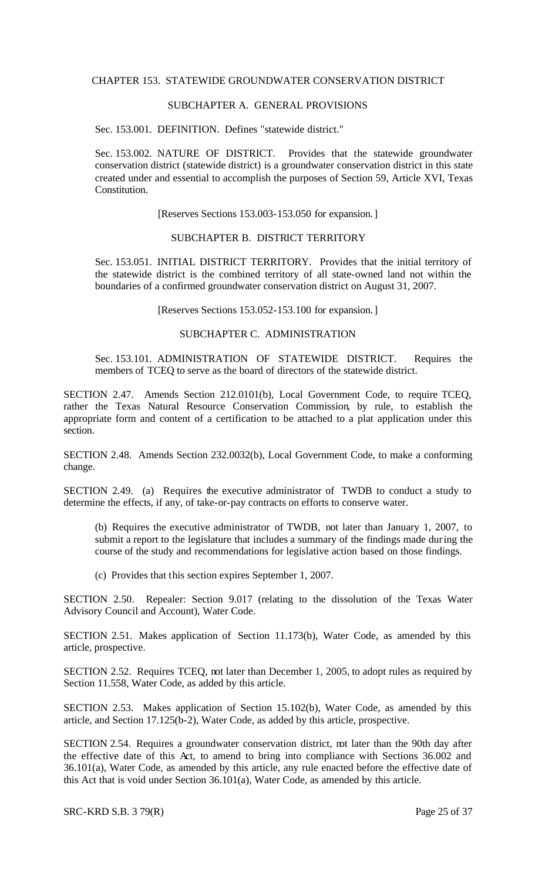#### CHAPTER 153. STATEWIDE GROUNDWATER CONSERVATION DISTRICT

# SUBCHAPTER A. GENERAL PROVISIONS

Sec. 153.001. DEFINITION. Defines "statewide district."

Sec. 153.002. NATURE OF DISTRICT. Provides that the statewide groundwater conservation district (statewide district) is a groundwater conservation district in this state created under and essential to accomplish the purposes of Section 59, Article XVI, Texas Constitution.

[Reserves Sections 153.003-153.050 for expansion.]

#### SUBCHAPTER B. DISTRICT TERRITORY

Sec. 153.051. INITIAL DISTRICT TERRITORY. Provides that the initial territory of the statewide district is the combined territory of all state-owned land not within the boundaries of a confirmed groundwater conservation district on August 31, 2007.

[Reserves Sections 153.052-153.100 for expansion.]

# SUBCHAPTER C. ADMINISTRATION

Sec. 153.101. ADMINISTRATION OF STATEWIDE DISTRICT. Requires the members of TCEQ to serve as the board of directors of the statewide district.

SECTION 2.47. Amends Section 212.0101(b), Local Government Code, to require TCEQ, rather the Texas Natural Resource Conservation Commission, by rule, to establish the appropriate form and content of a certification to be attached to a plat application under this section.

SECTION 2.48. Amends Section 232.0032(b), Local Government Code, to make a conforming change.

SECTION 2.49. (a) Requires the executive administrator of TWDB to conduct a study to determine the effects, if any, of take-or-pay contracts on efforts to conserve water.

(b) Requires the executive administrator of TWDB, not later than January 1, 2007, to submit a report to the legislature that includes a summary of the findings made during the course of the study and recommendations for legislative action based on those findings.

(c) Provides that this section expires September 1, 2007.

SECTION 2.50. Repealer: Section 9.017 (relating to the dissolution of the Texas Water Advisory Council and Account), Water Code.

SECTION 2.51. Makes application of Section 11.173(b), Water Code, as amended by this article, prospective.

SECTION 2.52. Requires TCEQ, not later than December 1, 2005, to adopt rules as required by Section 11.558, Water Code, as added by this article.

SECTION 2.53. Makes application of Section 15.102(b), Water Code, as amended by this article, and Section 17.125(b-2), Water Code, as added by this article, prospective.

SECTION 2.54. Requires a groundwater conservation district, not later than the 90th day after the effective date of this Act, to amend to bring into compliance with Sections 36.002 and 36.101(a), Water Code, as amended by this article, any rule enacted before the effective date of this Act that is void under Section 36.101(a), Water Code, as amended by this article.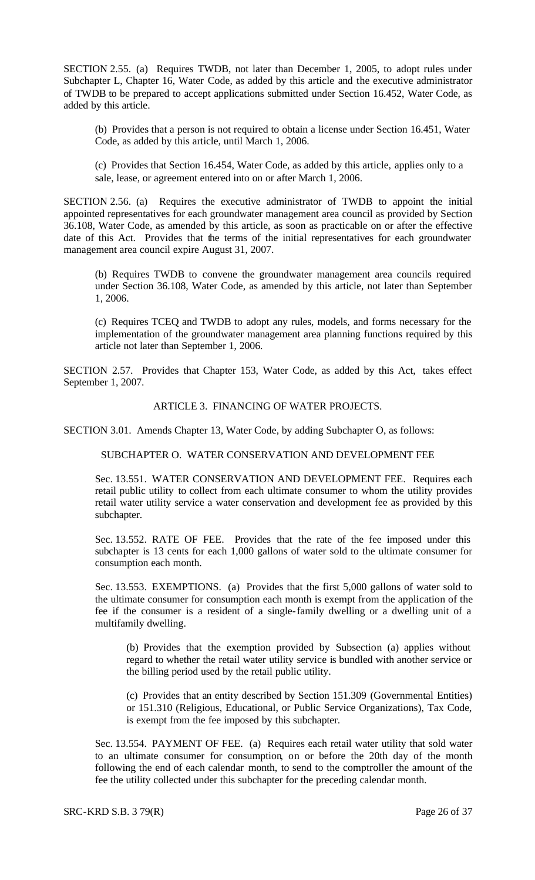SECTION 2.55. (a) Requires TWDB, not later than December 1, 2005, to adopt rules under Subchapter L, Chapter 16, Water Code, as added by this article and the executive administrator of TWDB to be prepared to accept applications submitted under Section 16.452, Water Code, as added by this article.

(b) Provides that a person is not required to obtain a license under Section 16.451, Water Code, as added by this article, until March 1, 2006.

(c) Provides that Section 16.454, Water Code, as added by this article, applies only to a sale, lease, or agreement entered into on or after March 1, 2006.

SECTION 2.56. (a) Requires the executive administrator of TWDB to appoint the initial appointed representatives for each groundwater management area council as provided by Section 36.108, Water Code, as amended by this article, as soon as practicable on or after the effective date of this Act. Provides that the terms of the initial representatives for each groundwater management area council expire August 31, 2007.

(b) Requires TWDB to convene the groundwater management area councils required under Section 36.108, Water Code, as amended by this article, not later than September 1, 2006.

(c) Requires TCEQ and TWDB to adopt any rules, models, and forms necessary for the implementation of the groundwater management area planning functions required by this article not later than September 1, 2006.

SECTION 2.57. Provides that Chapter 153, Water Code, as added by this Act, takes effect September 1, 2007.

## ARTICLE 3. FINANCING OF WATER PROJECTS.

SECTION 3.01. Amends Chapter 13, Water Code, by adding Subchapter O, as follows:

#### SUBCHAPTER O. WATER CONSERVATION AND DEVELOPMENT FEE

Sec. 13.551. WATER CONSERVATION AND DEVELOPMENT FEE. Requires each retail public utility to collect from each ultimate consumer to whom the utility provides retail water utility service a water conservation and development fee as provided by this subchapter.

Sec. 13.552. RATE OF FEE. Provides that the rate of the fee imposed under this subchapter is 13 cents for each 1,000 gallons of water sold to the ultimate consumer for consumption each month.

Sec. 13.553. EXEMPTIONS. (a) Provides that the first 5,000 gallons of water sold to the ultimate consumer for consumption each month is exempt from the application of the fee if the consumer is a resident of a single-family dwelling or a dwelling unit of a multifamily dwelling.

(b) Provides that the exemption provided by Subsection (a) applies without regard to whether the retail water utility service is bundled with another service or the billing period used by the retail public utility.

(c) Provides that an entity described by Section 151.309 (Governmental Entities) or 151.310 (Religious, Educational, or Public Service Organizations), Tax Code, is exempt from the fee imposed by this subchapter.

Sec. 13.554. PAYMENT OF FEE. (a) Requires each retail water utility that sold water to an ultimate consumer for consumption, on or before the 20th day of the month following the end of each calendar month, to send to the comptroller the amount of the fee the utility collected under this subchapter for the preceding calendar month.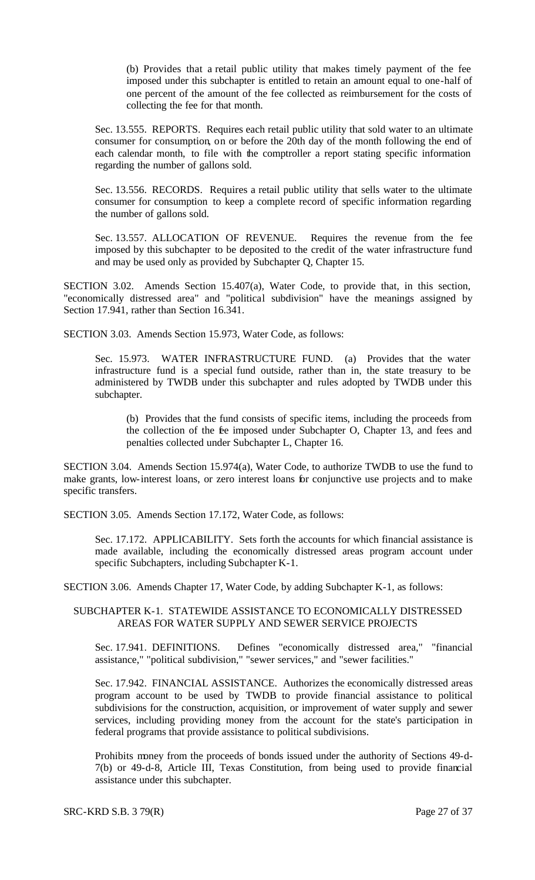(b) Provides that a retail public utility that makes timely payment of the fee imposed under this subchapter is entitled to retain an amount equal to one-half of one percent of the amount of the fee collected as reimbursement for the costs of collecting the fee for that month.

Sec. 13.555. REPORTS. Requires each retail public utility that sold water to an ultimate consumer for consumption, on or before the 20th day of the month following the end of each calendar month, to file with the comptroller a report stating specific information regarding the number of gallons sold.

Sec. 13.556. RECORDS. Requires a retail public utility that sells water to the ultimate consumer for consumption to keep a complete record of specific information regarding the number of gallons sold.

Sec. 13.557. ALLOCATION OF REVENUE. Requires the revenue from the fee imposed by this subchapter to be deposited to the credit of the water infrastructure fund and may be used only as provided by Subchapter Q, Chapter 15.

SECTION 3.02. Amends Section 15.407(a), Water Code, to provide that, in this section, "economically distressed area" and "political subdivision" have the meanings assigned by Section 17.941, rather than Section 16.341.

SECTION 3.03. Amends Section 15.973, Water Code, as follows:

Sec. 15.973. WATER INFRASTRUCTURE FUND. (a) Provides that the water infrastructure fund is a special fund outside, rather than in, the state treasury to be administered by TWDB under this subchapter and rules adopted by TWDB under this subchapter.

(b) Provides that the fund consists of specific items, including the proceeds from the collection of the fee imposed under Subchapter O, Chapter 13, and fees and penalties collected under Subchapter L, Chapter 16.

SECTION 3.04. Amends Section 15.974(a), Water Code, to authorize TWDB to use the fund to make grants, low-interest loans, or zero interest loans for conjunctive use projects and to make specific transfers.

SECTION 3.05. Amends Section 17.172, Water Code, as follows:

Sec. 17.172. APPLICABILITY. Sets forth the accounts for which financial assistance is made available, including the economically distressed areas program account under specific Subchapters, including Subchapter K-1.

SECTION 3.06. Amends Chapter 17, Water Code, by adding Subchapter K-1, as follows:

## SUBCHAPTER K-1. STATEWIDE ASSISTANCE TO ECONOMICALLY DISTRESSED AREAS FOR WATER SUPPLY AND SEWER SERVICE PROJECTS

Sec. 17.941. DEFINITIONS. Defines "economically distressed area," "financial assistance," "political subdivision," "sewer services," and "sewer facilities."

Sec. 17.942. FINANCIAL ASSISTANCE. Authorizes the economically distressed areas program account to be used by TWDB to provide financial assistance to political subdivisions for the construction, acquisition, or improvement of water supply and sewer services, including providing money from the account for the state's participation in federal programs that provide assistance to political subdivisions.

Prohibits money from the proceeds of bonds issued under the authority of Sections 49-d-7(b) or 49-d-8, Article III, Texas Constitution, from being used to provide financial assistance under this subchapter.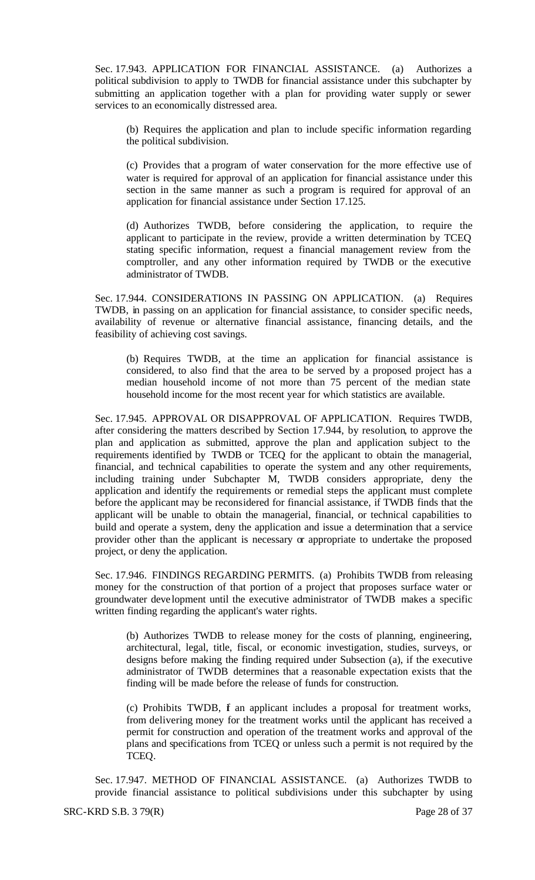Sec. 17.943. APPLICATION FOR FINANCIAL ASSISTANCE. (a) Authorizes a political subdivision to apply to TWDB for financial assistance under this subchapter by submitting an application together with a plan for providing water supply or sewer services to an economically distressed area.

(b) Requires the application and plan to include specific information regarding the political subdivision.

(c) Provides that a program of water conservation for the more effective use of water is required for approval of an application for financial assistance under this section in the same manner as such a program is required for approval of an application for financial assistance under Section 17.125.

(d) Authorizes TWDB, before considering the application, to require the applicant to participate in the review, provide a written determination by TCEQ stating specific information, request a financial management review from the comptroller, and any other information required by TWDB or the executive administrator of TWDB.

Sec. 17.944. CONSIDERATIONS IN PASSING ON APPLICATION. (a) Requires TWDB, in passing on an application for financial assistance, to consider specific needs, availability of revenue or alternative financial assistance, financing details, and the feasibility of achieving cost savings.

(b) Requires TWDB, at the time an application for financial assistance is considered, to also find that the area to be served by a proposed project has a median household income of not more than 75 percent of the median state household income for the most recent year for which statistics are available.

Sec. 17.945. APPROVAL OR DISAPPROVAL OF APPLICATION. Requires TWDB, after considering the matters described by Section 17.944, by resolution, to approve the plan and application as submitted, approve the plan and application subject to the requirements identified by TWDB or TCEQ for the applicant to obtain the managerial, financial, and technical capabilities to operate the system and any other requirements, including training under Subchapter M, TWDB considers appropriate, deny the application and identify the requirements or remedial steps the applicant must complete before the applicant may be reconsidered for financial assistance, if TWDB finds that the applicant will be unable to obtain the managerial, financial, or technical capabilities to build and operate a system, deny the application and issue a determination that a service provider other than the applicant is necessary or appropriate to undertake the proposed project, or deny the application.

Sec. 17.946. FINDINGS REGARDING PERMITS. (a) Prohibits TWDB from releasing money for the construction of that portion of a project that proposes surface water or groundwater deve lopment until the executive administrator of TWDB makes a specific written finding regarding the applicant's water rights.

(b) Authorizes TWDB to release money for the costs of planning, engineering, architectural, legal, title, fiscal, or economic investigation, studies, surveys, or designs before making the finding required under Subsection (a), if the executive administrator of TWDB determines that a reasonable expectation exists that the finding will be made before the release of funds for construction.

(c) Prohibits TWDB, f an applicant includes a proposal for treatment works, from delivering money for the treatment works until the applicant has received a permit for construction and operation of the treatment works and approval of the plans and specifications from TCEQ or unless such a permit is not required by the TCEQ.

Sec. 17.947. METHOD OF FINANCIAL ASSISTANCE. (a) Authorizes TWDB to provide financial assistance to political subdivisions under this subchapter by using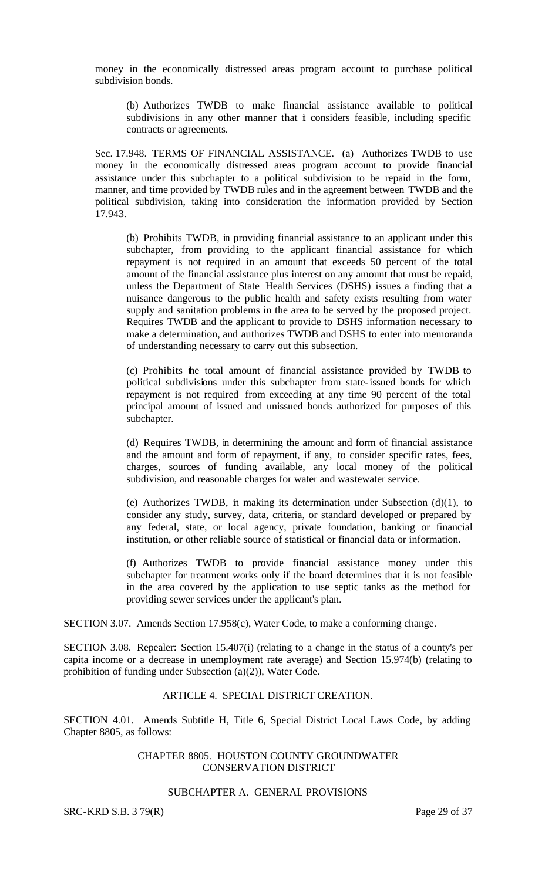money in the economically distressed areas program account to purchase political subdivision bonds.

(b) Authorizes TWDB to make financial assistance available to political subdivisions in any other manner that it considers feasible, including specific contracts or agreements.

Sec. 17.948. TERMS OF FINANCIAL ASSISTANCE. (a) Authorizes TWDB to use money in the economically distressed areas program account to provide financial assistance under this subchapter to a political subdivision to be repaid in the form, manner, and time provided by TWDB rules and in the agreement between TWDB and the political subdivision, taking into consideration the information provided by Section 17.943.

(b) Prohibits TWDB, in providing financial assistance to an applicant under this subchapter, from providing to the applicant financial assistance for which repayment is not required in an amount that exceeds 50 percent of the total amount of the financial assistance plus interest on any amount that must be repaid, unless the Department of State Health Services (DSHS) issues a finding that a nuisance dangerous to the public health and safety exists resulting from water supply and sanitation problems in the area to be served by the proposed project. Requires TWDB and the applicant to provide to DSHS information necessary to make a determination, and authorizes TWDB and DSHS to enter into memoranda of understanding necessary to carry out this subsection.

(c) Prohibits the total amount of financial assistance provided by TWDB to political subdivisions under this subchapter from state-issued bonds for which repayment is not required from exceeding at any time 90 percent of the total principal amount of issued and unissued bonds authorized for purposes of this subchapter.

(d) Requires TWDB, in determining the amount and form of financial assistance and the amount and form of repayment, if any, to consider specific rates, fees, charges, sources of funding available, any local money of the political subdivision, and reasonable charges for water and wastewater service.

(e) Authorizes TWDB, in making its determination under Subsection  $(d)(1)$ , to consider any study, survey, data, criteria, or standard developed or prepared by any federal, state, or local agency, private foundation, banking or financial institution, or other reliable source of statistical or financial data or information.

(f) Authorizes TWDB to provide financial assistance money under this subchapter for treatment works only if the board determines that it is not feasible in the area covered by the application to use septic tanks as the method for providing sewer services under the applicant's plan.

SECTION 3.07. Amends Section 17.958(c), Water Code, to make a conforming change.

SECTION 3.08. Repealer: Section 15.407(i) (relating to a change in the status of a county's per capita income or a decrease in unemployment rate average) and Section 15.974(b) (relating to prohibition of funding under Subsection (a)(2)), Water Code.

#### ARTICLE 4. SPECIAL DISTRICT CREATION.

SECTION 4.01. Amends Subtitle H, Title 6, Special District Local Laws Code, by adding Chapter 8805, as follows:

#### CHAPTER 8805. HOUSTON COUNTY GROUNDWATER CONSERVATION DISTRICT

# SUBCHAPTER A. GENERAL PROVISIONS

SRC-KRD S.B. 3 79(R) Page 29 of 37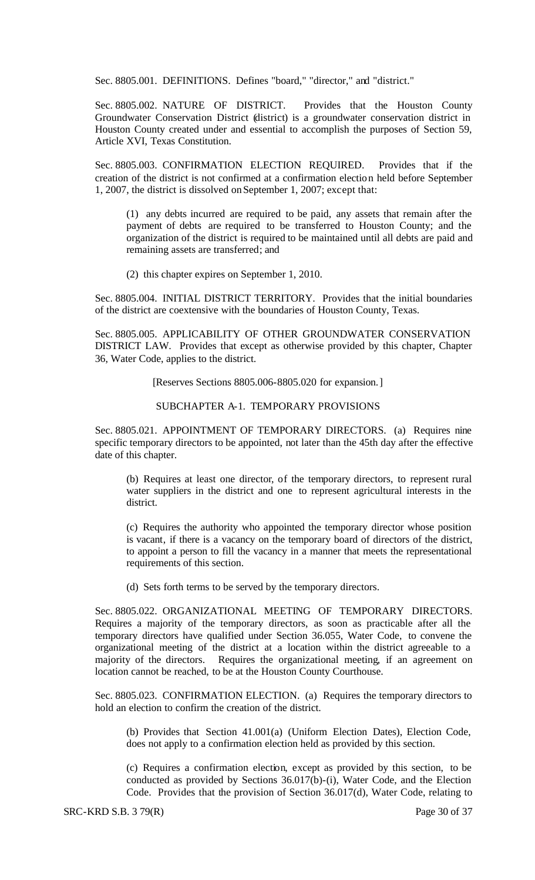Sec. 8805.001. DEFINITIONS. Defines "board," "director," and "district."

Sec. 8805.002. NATURE OF DISTRICT. Provides that the Houston County Groundwater Conservation District (district) is a groundwater conservation district in Houston County created under and essential to accomplish the purposes of Section 59, Article XVI, Texas Constitution.

Sec. 8805.003. CONFIRMATION ELECTION REQUIRED. Provides that if the creation of the district is not confirmed at a confirmation election held before September 1, 2007, the district is dissolved on September 1, 2007; except that:

(1) any debts incurred are required to be paid, any assets that remain after the payment of debts are required to be transferred to Houston County; and the organization of the district is required to be maintained until all debts are paid and remaining assets are transferred; and

(2) this chapter expires on September 1, 2010.

Sec. 8805.004. INITIAL DISTRICT TERRITORY. Provides that the initial boundaries of the district are coextensive with the boundaries of Houston County, Texas.

Sec. 8805.005. APPLICABILITY OF OTHER GROUNDWATER CONSERVATION DISTRICT LAW. Provides that except as otherwise provided by this chapter, Chapter 36, Water Code, applies to the district.

[Reserves Sections 8805.006-8805.020 for expansion.]

## SUBCHAPTER A-1. TEMPORARY PROVISIONS

Sec. 8805.021. APPOINTMENT OF TEMPORARY DIRECTORS. (a) Requires nine specific temporary directors to be appointed, not later than the 45th day after the effective date of this chapter.

(b) Requires at least one director, of the temporary directors, to represent rural water suppliers in the district and one to represent agricultural interests in the district.

(c) Requires the authority who appointed the temporary director whose position is vacant, if there is a vacancy on the temporary board of directors of the district, to appoint a person to fill the vacancy in a manner that meets the representational requirements of this section.

(d) Sets forth terms to be served by the temporary directors.

Sec. 8805.022. ORGANIZATIONAL MEETING OF TEMPORARY DIRECTORS. Requires a majority of the temporary directors, as soon as practicable after all the temporary directors have qualified under Section 36.055, Water Code, to convene the organizational meeting of the district at a location within the district agreeable to a majority of the directors. Requires the organizational meeting, if an agreement on location cannot be reached, to be at the Houston County Courthouse.

Sec. 8805.023. CONFIRMATION ELECTION. (a) Requires the temporary directors to hold an election to confirm the creation of the district.

(b) Provides that Section 41.001(a) (Uniform Election Dates), Election Code, does not apply to a confirmation election held as provided by this section.

(c) Requires a confirmation election, except as provided by this section, to be conducted as provided by Sections 36.017(b)-(i), Water Code, and the Election Code. Provides that the provision of Section 36.017(d), Water Code, relating to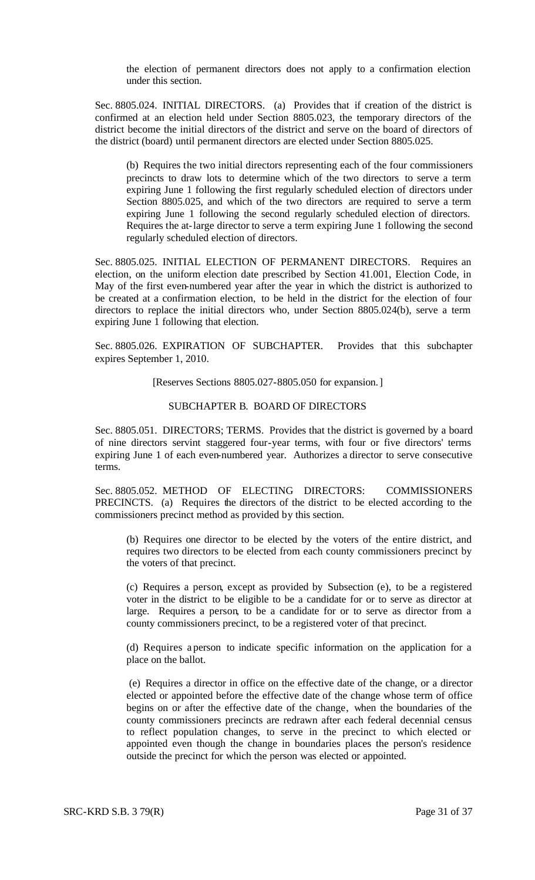the election of permanent directors does not apply to a confirmation election under this section.

Sec. 8805.024. INITIAL DIRECTORS. (a) Provides that if creation of the district is confirmed at an election held under Section 8805.023, the temporary directors of the district become the initial directors of the district and serve on the board of directors of the district (board) until permanent directors are elected under Section 8805.025.

(b) Requires the two initial directors representing each of the four commissioners precincts to draw lots to determine which of the two directors to serve a term expiring June 1 following the first regularly scheduled election of directors under Section 8805.025, and which of the two directors are required to serve a term expiring June 1 following the second regularly scheduled election of directors. Requires the at-large director to serve a term expiring June 1 following the second regularly scheduled election of directors.

Sec. 8805.025. INITIAL ELECTION OF PERMANENT DIRECTORS. Requires an election, on the uniform election date prescribed by Section 41.001, Election Code, in May of the first even-numbered year after the year in which the district is authorized to be created at a confirmation election, to be held in the district for the election of four directors to replace the initial directors who, under Section 8805.024(b), serve a term expiring June 1 following that election.

Sec. 8805.026. EXPIRATION OF SUBCHAPTER. Provides that this subchapter expires September 1, 2010.

[Reserves Sections 8805.027-8805.050 for expansion.]

## SUBCHAPTER B. BOARD OF DIRECTORS

Sec. 8805.051. DIRECTORS; TERMS. Provides that the district is governed by a board of nine directors servint staggered four-year terms, with four or five directors' terms expiring June 1 of each even-numbered year. Authorizes a director to serve consecutive terms.

Sec. 8805.052. METHOD OF ELECTING DIRECTORS: COMMISSIONERS PRECINCTS. (a) Requires the directors of the district to be elected according to the commissioners precinct method as provided by this section.

(b) Requires one director to be elected by the voters of the entire district, and requires two directors to be elected from each county commissioners precinct by the voters of that precinct.

(c) Requires a person, except as provided by Subsection (e), to be a registered voter in the district to be eligible to be a candidate for or to serve as director at large. Requires a person, to be a candidate for or to serve as director from a county commissioners precinct, to be a registered voter of that precinct.

(d) Requires a person to indicate specific information on the application for a place on the ballot.

(e) Requires a director in office on the effective date of the change, or a director elected or appointed before the effective date of the change whose term of office begins on or after the effective date of the change, when the boundaries of the county commissioners precincts are redrawn after each federal decennial census to reflect population changes, to serve in the precinct to which elected or appointed even though the change in boundaries places the person's residence outside the precinct for which the person was elected or appointed.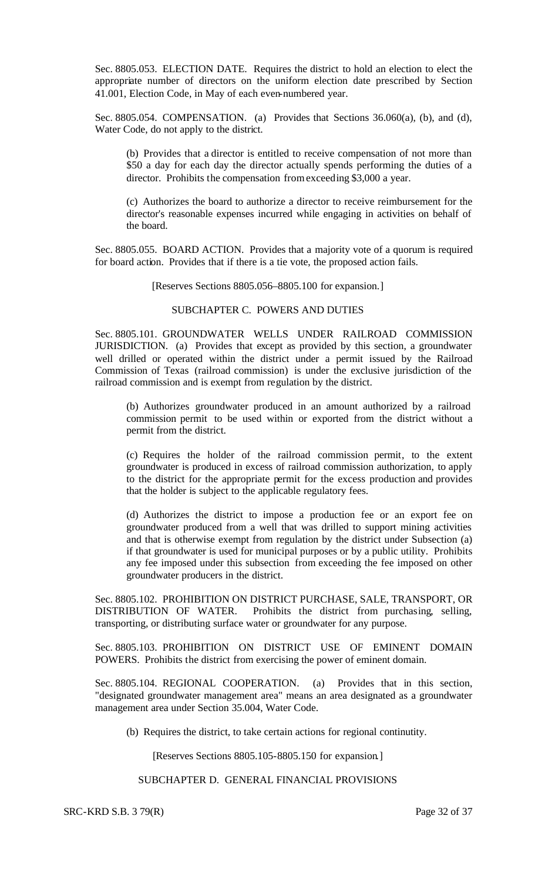Sec. 8805.053. ELECTION DATE. Requires the district to hold an election to elect the appropriate number of directors on the uniform election date prescribed by Section 41.001, Election Code, in May of each even-numbered year.

Sec. 8805.054. COMPENSATION. (a) Provides that Sections 36.060(a), (b), and (d), Water Code, do not apply to the district.

(b) Provides that a director is entitled to receive compensation of not more than \$50 a day for each day the director actually spends performing the duties of a director. Prohibits the compensation from exceeding \$3,000 a year.

(c) Authorizes the board to authorize a director to receive reimbursement for the director's reasonable expenses incurred while engaging in activities on behalf of the board.

Sec. 8805.055. BOARD ACTION. Provides that a majority vote of a quorum is required for board action. Provides that if there is a tie vote, the proposed action fails.

[Reserves Sections 8805.056–8805.100 for expansion.]

# SUBCHAPTER C. POWERS AND DUTIES

Sec. 8805.101. GROUNDWATER WELLS UNDER RAILROAD COMMISSION JURISDICTION. (a) Provides that except as provided by this section, a groundwater well drilled or operated within the district under a permit issued by the Railroad Commission of Texas (railroad commission) is under the exclusive jurisdiction of the railroad commission and is exempt from regulation by the district.

(b) Authorizes groundwater produced in an amount authorized by a railroad commission permit to be used within or exported from the district without a permit from the district.

(c) Requires the holder of the railroad commission permit, to the extent groundwater is produced in excess of railroad commission authorization, to apply to the district for the appropriate permit for the excess production and provides that the holder is subject to the applicable regulatory fees.

(d) Authorizes the district to impose a production fee or an export fee on groundwater produced from a well that was drilled to support mining activities and that is otherwise exempt from regulation by the district under Subsection (a) if that groundwater is used for municipal purposes or by a public utility. Prohibits any fee imposed under this subsection from exceeding the fee imposed on other groundwater producers in the district.

Sec. 8805.102. PROHIBITION ON DISTRICT PURCHASE, SALE, TRANSPORT, OR DISTRIBUTION OF WATER. Prohibits the district from purchasing, selling, transporting, or distributing surface water or groundwater for any purpose.

Sec. 8805.103. PROHIBITION ON DISTRICT USE OF EMINENT DOMAIN POWERS. Prohibits the district from exercising the power of eminent domain.

Sec. 8805.104. REGIONAL COOPERATION. (a) Provides that in this section, "designated groundwater management area" means an area designated as a groundwater management area under Section 35.004, Water Code.

(b) Requires the district, to take certain actions for regional continutity.

[Reserves Sections 8805.105-8805.150 for expansion.]

#### SUBCHAPTER D. GENERAL FINANCIAL PROVISIONS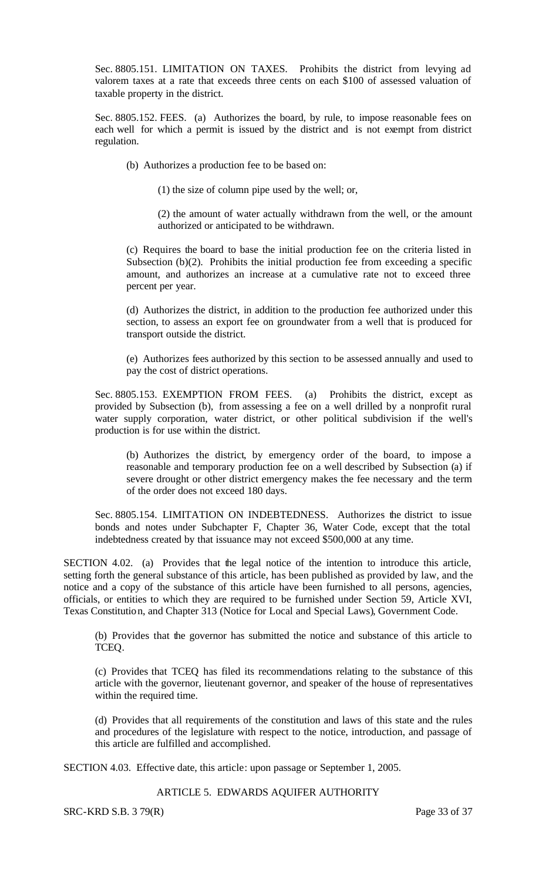Sec. 8805.151. LIMITATION ON TAXES. Prohibits the district from levying ad valorem taxes at a rate that exceeds three cents on each \$100 of assessed valuation of taxable property in the district.

Sec. 8805.152. FEES. (a) Authorizes the board, by rule, to impose reasonable fees on each well for which a permit is issued by the district and is not exempt from district regulation.

(b) Authorizes a production fee to be based on:

(1) the size of column pipe used by the well; or,

(2) the amount of water actually withdrawn from the well, or the amount authorized or anticipated to be withdrawn.

(c) Requires the board to base the initial production fee on the criteria listed in Subsection (b)(2). Prohibits the initial production fee from exceeding a specific amount, and authorizes an increase at a cumulative rate not to exceed three percent per year.

(d) Authorizes the district, in addition to the production fee authorized under this section, to assess an export fee on groundwater from a well that is produced for transport outside the district.

(e) Authorizes fees authorized by this section to be assessed annually and used to pay the cost of district operations.

Sec. 8805.153. EXEMPTION FROM FEES. (a) Prohibits the district, except as provided by Subsection (b), from assessing a fee on a well drilled by a nonprofit rural water supply corporation, water district, or other political subdivision if the well's production is for use within the district.

(b) Authorizes the district, by emergency order of the board, to impose a reasonable and temporary production fee on a well described by Subsection (a) if severe drought or other district emergency makes the fee necessary and the term of the order does not exceed 180 days.

Sec. 8805.154. LIMITATION ON INDEBTEDNESS. Authorizes the district to issue bonds and notes under Subchapter F, Chapter 36, Water Code, except that the total indebtedness created by that issuance may not exceed \$500,000 at any time.

SECTION 4.02. (a) Provides that the legal notice of the intention to introduce this article, setting forth the general substance of this article, has been published as provided by law, and the notice and a copy of the substance of this article have been furnished to all persons, agencies, officials, or entities to which they are required to be furnished under Section 59, Article XVI, Texas Constitution, and Chapter 313 (Notice for Local and Special Laws), Government Code.

(b) Provides that the governor has submitted the notice and substance of this article to TCEQ.

(c) Provides that TCEQ has filed its recommendations relating to the substance of this article with the governor, lieutenant governor, and speaker of the house of representatives within the required time.

(d) Provides that all requirements of the constitution and laws of this state and the rules and procedures of the legislature with respect to the notice, introduction, and passage of this article are fulfilled and accomplished.

SECTION 4.03. Effective date, this article: upon passage or September 1, 2005.

#### ARTICLE 5. EDWARDS AQUIFER AUTHORITY

SRC-KRD S.B. 3 79(R) Page 33 of 37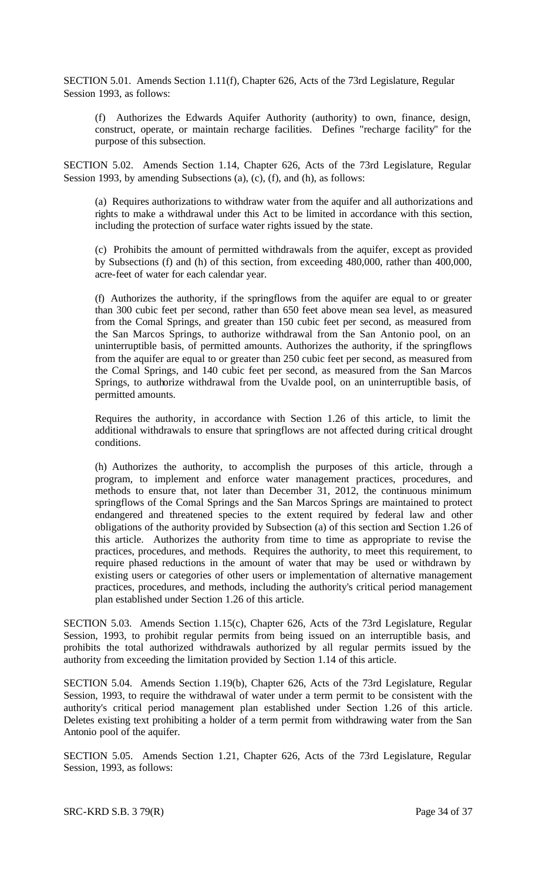SECTION 5.01. Amends Section 1.11(f), Chapter 626, Acts of the 73rd Legislature, Regular Session 1993, as follows:

(f) Authorizes the Edwards Aquifer Authority (authority) to own, finance, design, construct, operate, or maintain recharge facilities. Defines "recharge facility" for the purpose of this subsection.

SECTION 5.02. Amends Section 1.14, Chapter 626, Acts of the 73rd Legislature, Regular Session 1993, by amending Subsections (a), (c), (f), and (h), as follows:

(a) Requires authorizations to withdraw water from the aquifer and all authorizations and rights to make a withdrawal under this Act to be limited in accordance with this section, including the protection of surface water rights issued by the state.

(c) Prohibits the amount of permitted withdrawals from the aquifer, except as provided by Subsections (f) and (h) of this section, from exceeding 480,000, rather than 400,000, acre-feet of water for each calendar year.

(f) Authorizes the authority, if the springflows from the aquifer are equal to or greater than 300 cubic feet per second, rather than 650 feet above mean sea level, as measured from the Comal Springs, and greater than 150 cubic feet per second, as measured from the San Marcos Springs, to authorize withdrawal from the San Antonio pool, on an uninterruptible basis, of permitted amounts. Authorizes the authority, if the springflows from the aquifer are equal to or greater than 250 cubic feet per second, as measured from the Comal Springs, and 140 cubic feet per second, as measured from the San Marcos Springs, to authorize withdrawal from the Uvalde pool, on an uninterruptible basis, of permitted amounts.

Requires the authority, in accordance with Section 1.26 of this article, to limit the additional withdrawals to ensure that springflows are not affected during critical drought conditions.

(h) Authorizes the authority, to accomplish the purposes of this article, through a program, to implement and enforce water management practices, procedures, and methods to ensure that, not later than December 31, 2012, the continuous minimum springflows of the Comal Springs and the San Marcos Springs are maintained to protect endangered and threatened species to the extent required by federal law and other obligations of the authority provided by Subsection (a) of this section and Section 1.26 of this article. Authorizes the authority from time to time as appropriate to revise the practices, procedures, and methods. Requires the authority, to meet this requirement, to require phased reductions in the amount of water that may be used or withdrawn by existing users or categories of other users or implementation of alternative management practices, procedures, and methods, including the authority's critical period management plan established under Section 1.26 of this article.

SECTION 5.03. Amends Section 1.15(c), Chapter 626, Acts of the 73rd Legislature, Regular Session, 1993, to prohibit regular permits from being issued on an interruptible basis, and prohibits the total authorized withdrawals authorized by all regular permits issued by the authority from exceeding the limitation provided by Section 1.14 of this article.

SECTION 5.04. Amends Section 1.19(b), Chapter 626, Acts of the 73rd Legislature, Regular Session, 1993, to require the withdrawal of water under a term permit to be consistent with the authority's critical period management plan established under Section 1.26 of this article. Deletes existing text prohibiting a holder of a term permit from withdrawing water from the San Antonio pool of the aquifer.

SECTION 5.05. Amends Section 1.21, Chapter 626, Acts of the 73rd Legislature, Regular Session, 1993, as follows: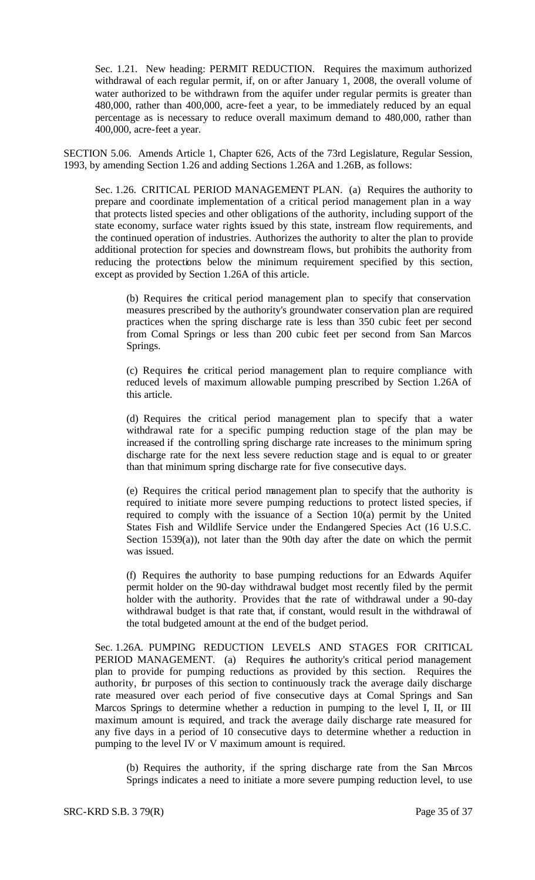Sec. 1.21. New heading: PERMIT REDUCTION. Requires the maximum authorized withdrawal of each regular permit, if, on or after January 1, 2008, the overall volume of water authorized to be withdrawn from the aquifer under regular permits is greater than 480,000, rather than 400,000, acre-feet a year, to be immediately reduced by an equal percentage as is necessary to reduce overall maximum demand to 480,000, rather than 400,000, acre-feet a year.

SECTION 5.06. Amends Article 1, Chapter 626, Acts of the 73rd Legislature, Regular Session, 1993, by amending Section 1.26 and adding Sections 1.26A and 1.26B, as follows:

Sec. 1.26. CRITICAL PERIOD MANAGEMENT PLAN. (a) Requires the authority to prepare and coordinate implementation of a critical period management plan in a way that protects listed species and other obligations of the authority, including support of the state economy, surface water rights issued by this state, instream flow requirements, and the continued operation of industries. Authorizes the authority to alter the plan to provide additional protection for species and downstream flows, but prohibits the authority from reducing the protections below the minimum requirement specified by this section, except as provided by Section 1.26A of this article.

(b) Requires the critical period management plan to specify that conservation measures prescribed by the authority's groundwater conservation plan are required practices when the spring discharge rate is less than 350 cubic feet per second from Comal Springs or less than 200 cubic feet per second from San Marcos Springs.

(c) Requires the critical period management plan to require compliance with reduced levels of maximum allowable pumping prescribed by Section 1.26A of this article.

(d) Requires the critical period management plan to specify that a water withdrawal rate for a specific pumping reduction stage of the plan may be increased if the controlling spring discharge rate increases to the minimum spring discharge rate for the next less severe reduction stage and is equal to or greater than that minimum spring discharge rate for five consecutive days.

(e) Requires the critical period management plan to specify that the authority is required to initiate more severe pumping reductions to protect listed species, if required to comply with the issuance of a Section 10(a) permit by the United States Fish and Wildlife Service under the Endangered Species Act (16 U.S.C. Section 1539(a)), not later than the 90th day after the date on which the permit was issued.

(f) Requires the authority to base pumping reductions for an Edwards Aquifer permit holder on the 90-day withdrawal budget most recently filed by the permit holder with the authority. Provides that the rate of withdrawal under a 90-day withdrawal budget is that rate that, if constant, would result in the withdrawal of the total budgeted amount at the end of the budget period.

Sec. 1.26A. PUMPING REDUCTION LEVELS AND STAGES FOR CRITICAL PERIOD MANAGEMENT. (a) Requires the authority's critical period management plan to provide for pumping reductions as provided by this section. Requires the authority, for purposes of this section to continuously track the average daily discharge rate measured over each period of five consecutive days at Comal Springs and San Marcos Springs to determine whether a reduction in pumping to the level I, II, or III maximum amount is required, and track the average daily discharge rate measured for any five days in a period of 10 consecutive days to determine whether a reduction in pumping to the level IV or V maximum amount is required.

(b) Requires the authority, if the spring discharge rate from the San Marcos Springs indicates a need to initiate a more severe pumping reduction level, to use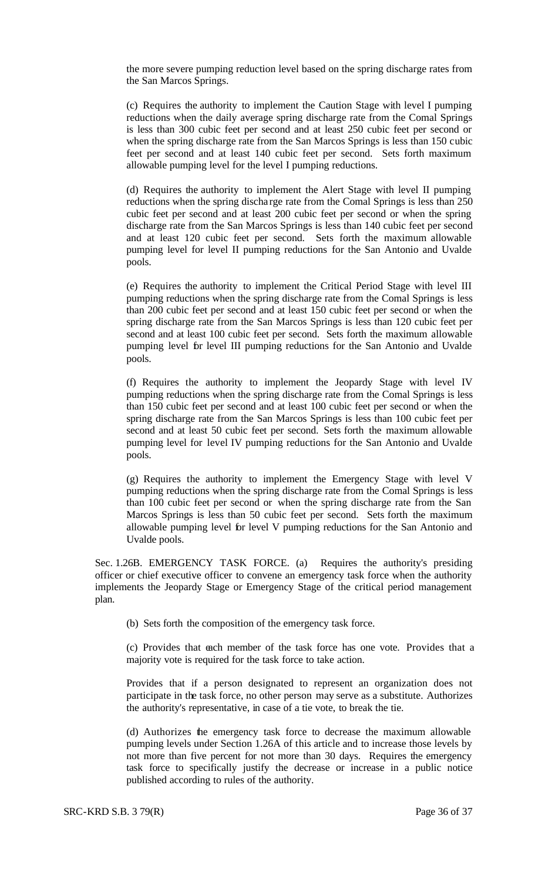the more severe pumping reduction level based on the spring discharge rates from the San Marcos Springs.

(c) Requires the authority to implement the Caution Stage with level I pumping reductions when the daily average spring discharge rate from the Comal Springs is less than 300 cubic feet per second and at least 250 cubic feet per second or when the spring discharge rate from the San Marcos Springs is less than 150 cubic feet per second and at least 140 cubic feet per second. Sets forth maximum allowable pumping level for the level I pumping reductions.

(d) Requires the authority to implement the Alert Stage with level II pumping reductions when the spring discha rge rate from the Comal Springs is less than 250 cubic feet per second and at least 200 cubic feet per second or when the spring discharge rate from the San Marcos Springs is less than 140 cubic feet per second and at least 120 cubic feet per second. Sets forth the maximum allowable pumping level for level II pumping reductions for the San Antonio and Uvalde pools.

(e) Requires the authority to implement the Critical Period Stage with level III pumping reductions when the spring discharge rate from the Comal Springs is less than 200 cubic feet per second and at least 150 cubic feet per second or when the spring discharge rate from the San Marcos Springs is less than 120 cubic feet per second and at least 100 cubic feet per second. Sets forth the maximum allowable pumping level for level III pumping reductions for the San Antonio and Uvalde pools.

(f) Requires the authority to implement the Jeopardy Stage with level IV pumping reductions when the spring discharge rate from the Comal Springs is less than 150 cubic feet per second and at least 100 cubic feet per second or when the spring discharge rate from the San Marcos Springs is less than 100 cubic feet per second and at least 50 cubic feet per second. Sets forth the maximum allowable pumping level for level IV pumping reductions for the San Antonio and Uvalde pools.

(g) Requires the authority to implement the Emergency Stage with level V pumping reductions when the spring discharge rate from the Comal Springs is less than 100 cubic feet per second or when the spring discharge rate from the San Marcos Springs is less than 50 cubic feet per second. Sets forth the maximum allowable pumping level for level V pumping reductions for the San Antonio and Uvalde pools.

Sec. 1.26B. EMERGENCY TASK FORCE. (a) Requires the authority's presiding officer or chief executive officer to convene an emergency task force when the authority implements the Jeopardy Stage or Emergency Stage of the critical period management plan.

(b) Sets forth the composition of the emergency task force.

(c) Provides that each member of the task force has one vote. Provides that a majority vote is required for the task force to take action.

Provides that if a person designated to represent an organization does not participate in the task force, no other person may serve as a substitute. Authorizes the authority's representative, in case of a tie vote, to break the tie.

(d) Authorizes the emergency task force to decrease the maximum allowable pumping levels under Section 1.26A of this article and to increase those levels by not more than five percent for not more than 30 days. Requires the emergency task force to specifically justify the decrease or increase in a public notice published according to rules of the authority.